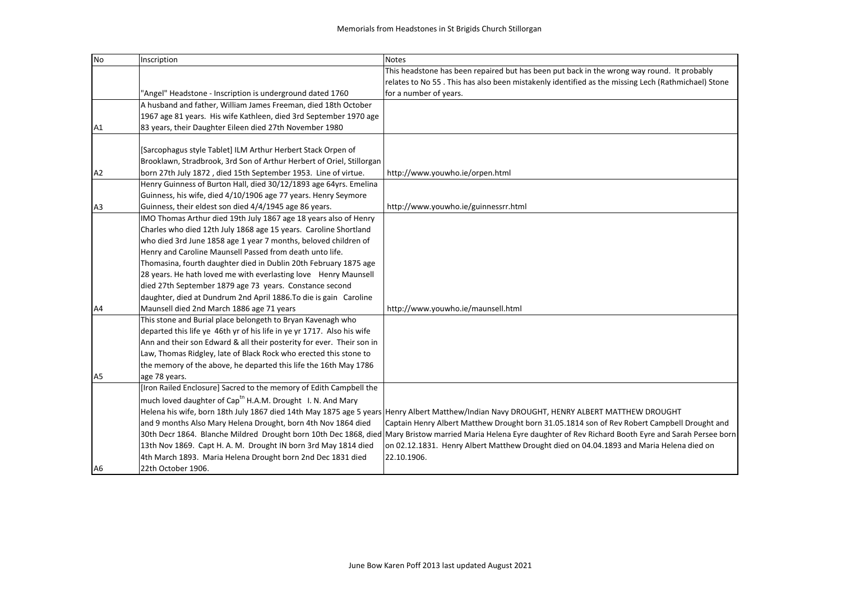| N <sub>o</sub> | Inscription                                                             | Notes                                                                                                                                                            |
|----------------|-------------------------------------------------------------------------|------------------------------------------------------------------------------------------------------------------------------------------------------------------|
|                |                                                                         | This headstone has been repaired but has been put back in the wrong way round. It probably                                                                       |
|                |                                                                         | relates to No 55. This has also been mistakenly identified as the missing Lech (Rathmichael) Stone                                                               |
|                | "Angel" Headstone - Inscription is underground dated 1760               | for a number of years.                                                                                                                                           |
|                | A husband and father, William James Freeman, died 18th October          |                                                                                                                                                                  |
|                | 1967 age 81 years. His wife Kathleen, died 3rd September 1970 age       |                                                                                                                                                                  |
| A <sub>1</sub> | 83 years, their Daughter Eileen died 27th November 1980                 |                                                                                                                                                                  |
|                |                                                                         |                                                                                                                                                                  |
|                | [Sarcophagus style Tablet] ILM Arthur Herbert Stack Orpen of            |                                                                                                                                                                  |
|                | Brooklawn, Stradbrook, 3rd Son of Arthur Herbert of Oriel, Stillorgan   |                                                                                                                                                                  |
| A2             | born 27th July 1872, died 15th September 1953. Line of virtue.          | http://www.youwho.ie/orpen.html                                                                                                                                  |
|                | Henry Guinness of Burton Hall, died 30/12/1893 age 64yrs. Emelina       |                                                                                                                                                                  |
|                | Guinness, his wife, died 4/10/1906 age 77 years. Henry Seymore          |                                                                                                                                                                  |
| A <sub>3</sub> | Guinness, their eldest son died 4/4/1945 age 86 years.                  | http://www.youwho.ie/guinnessrr.html                                                                                                                             |
|                | IMO Thomas Arthur died 19th July 1867 age 18 years also of Henry        |                                                                                                                                                                  |
|                | Charles who died 12th July 1868 age 15 years. Caroline Shortland        |                                                                                                                                                                  |
|                | who died 3rd June 1858 age 1 year 7 months, beloved children of         |                                                                                                                                                                  |
|                | Henry and Caroline Maunsell Passed from death unto life.                |                                                                                                                                                                  |
|                | Thomasina, fourth daughter died in Dublin 20th February 1875 age        |                                                                                                                                                                  |
|                | 28 years. He hath loved me with everlasting love Henry Maunsell         |                                                                                                                                                                  |
|                | died 27th September 1879 age 73 years. Constance second                 |                                                                                                                                                                  |
|                | daughter, died at Dundrum 2nd April 1886. To die is gain Caroline       |                                                                                                                                                                  |
| A4             | Maunsell died 2nd March 1886 age 71 years                               | http://www.youwho.ie/maunsell.html                                                                                                                               |
|                | This stone and Burial place belongeth to Bryan Kavenagh who             |                                                                                                                                                                  |
|                | departed this life ye 46th yr of his life in ye yr 1717. Also his wife  |                                                                                                                                                                  |
|                | Ann and their son Edward & all their posterity for ever. Their son in   |                                                                                                                                                                  |
|                | Law, Thomas Ridgley, late of Black Rock who erected this stone to       |                                                                                                                                                                  |
|                | the memory of the above, he departed this life the 16th May 1786        |                                                                                                                                                                  |
| A <sub>5</sub> | age 78 years.                                                           |                                                                                                                                                                  |
|                | [Iron Railed Enclosure] Sacred to the memory of Edith Campbell the      |                                                                                                                                                                  |
|                | much loved daughter of Capt <sup>tn</sup> H.A.M. Drought I. N. And Mary |                                                                                                                                                                  |
|                |                                                                         | Helena his wife, born 18th July 1867 died 14th May 1875 age 5 years Henry Albert Matthew/Indian Navy DROUGHT, HENRY ALBERT MATTHEW DROUGHT                       |
|                | and 9 months Also Mary Helena Drought, born 4th Nov 1864 died           | Captain Henry Albert Matthew Drought born 31.05.1814 son of Rev Robert Campbell Drought and                                                                      |
|                |                                                                         | 30th Decr 1864. Blanche Mildred Drought born 10th Dec 1868, died Mary Bristow married Maria Helena Eyre daughter of Rev Richard Booth Eyre and Sarah Persee born |
|                | 13th Nov 1869. Capt H. A. M. Drought IN born 3rd May 1814 died          | on 02.12.1831. Henry Albert Matthew Drought died on 04.04.1893 and Maria Helena died on                                                                          |
|                | 4th March 1893. Maria Helena Drought born 2nd Dec 1831 died             | 22.10.1906.                                                                                                                                                      |
| A <sub>6</sub> | 22th October 1906.                                                      |                                                                                                                                                                  |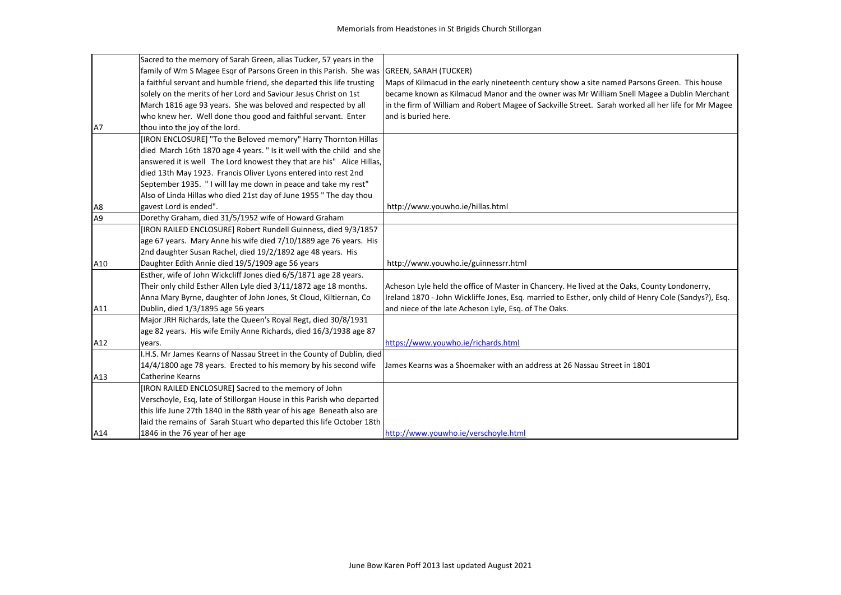|                | Sacred to the memory of Sarah Green, alias Tucker, 57 years in the                       |                                                                                                       |
|----------------|------------------------------------------------------------------------------------------|-------------------------------------------------------------------------------------------------------|
|                | family of Wm S Magee Esqr of Parsons Green in this Parish. She was GREEN, SARAH (TUCKER) |                                                                                                       |
|                | a faithful servant and humble friend, she departed this life trusting                    | Maps of Kilmacud in the early nineteenth century show a site named Parsons Green. This house          |
|                | solely on the merits of her Lord and Saviour Jesus Christ on 1st                         | became known as Kilmacud Manor and the owner was Mr William Snell Magee a Dublin Merchant             |
|                | March 1816 age 93 years. She was beloved and respected by all                            | in the firm of William and Robert Magee of Sackville Street. Sarah worked all her life for Mr Magee   |
|                | who knew her. Well done thou good and faithful servant. Enter                            | and is buried here.                                                                                   |
| A7             | thou into the joy of the lord.                                                           |                                                                                                       |
|                | [IRON ENCLOSURE] "To the Beloved memory" Harry Thornton Hillas                           |                                                                                                       |
|                | died March 16th 1870 age 4 years. " Is it well with the child and she                    |                                                                                                       |
|                | answered it is well The Lord knowest they that are his" Alice Hillas,                    |                                                                                                       |
|                | died 13th May 1923. Francis Oliver Lyons entered into rest 2nd                           |                                                                                                       |
|                | September 1935. "I will lay me down in peace and take my rest"                           |                                                                                                       |
|                | Also of Linda Hillas who died 21st day of June 1955 " The day thou                       |                                                                                                       |
| A8             | gavest Lord is ended".                                                                   | http://www.youwho.ie/hillas.html                                                                      |
| A <sub>9</sub> | Dorethy Graham, died 31/5/1952 wife of Howard Graham                                     |                                                                                                       |
|                | [IRON RAILED ENCLOSURE] Robert Rundell Guinness, died 9/3/1857                           |                                                                                                       |
|                | age 67 years. Mary Anne his wife died 7/10/1889 age 76 years. His                        |                                                                                                       |
|                | 2nd daughter Susan Rachel, died 19/2/1892 age 48 years. His                              |                                                                                                       |
| A10            | Daughter Edith Annie died 19/5/1909 age 56 years                                         | http://www.youwho.ie/guinnessrr.html                                                                  |
|                | Esther, wife of John Wickcliff Jones died 6/5/1871 age 28 years.                         |                                                                                                       |
|                | Their only child Esther Allen Lyle died 3/11/1872 age 18 months.                         | Acheson Lyle held the office of Master in Chancery. He lived at the Oaks, County Londonerry,          |
|                | Anna Mary Byrne, daughter of John Jones, St Cloud, Kiltiernan, Co                        | Ireland 1870 - John Wickliffe Jones, Esq. married to Esther, only child of Henry Cole (Sandys?), Esq. |
| A11            | Dublin, died 1/3/1895 age 56 years                                                       | and niece of the late Acheson Lyle, Esq. of The Oaks.                                                 |
|                | Major JRH Richards, late the Queen's Royal Regt, died 30/8/1931                          |                                                                                                       |
|                | age 82 years. His wife Emily Anne Richards, died 16/3/1938 age 87                        |                                                                                                       |
| A12            | years.                                                                                   | https://www.youwho.ie/richards.html                                                                   |
|                | I.H.S. Mr James Kearns of Nassau Street in the County of Dublin, died                    |                                                                                                       |
|                | 14/4/1800 age 78 years. Erected to his memory by his second wife                         | James Kearns was a Shoemaker with an address at 26 Nassau Street in 1801                              |
| A13            | <b>Catherine Kearns</b>                                                                  |                                                                                                       |
|                | [IRON RAILED ENCLOSURE] Sacred to the memory of John                                     |                                                                                                       |
|                | Verschoyle, Esq, late of Stillorgan House in this Parish who departed                    |                                                                                                       |
|                | this life June 27th 1840 in the 88th year of his age Beneath also are                    |                                                                                                       |
|                | laid the remains of Sarah Stuart who departed this life October 18th                     |                                                                                                       |
| A14            | 1846 in the 76 year of her age                                                           | http://www.youwho.ie/verschoyle.html                                                                  |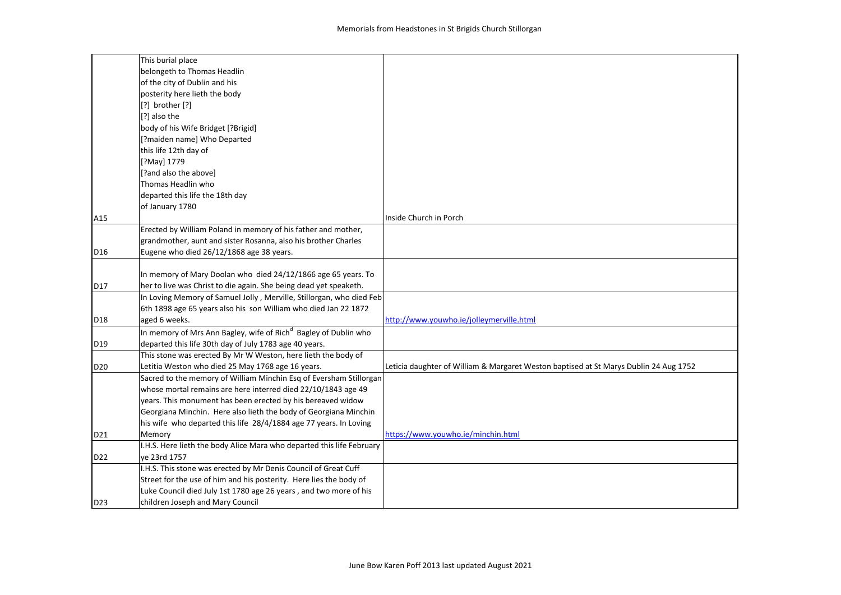|                 | This burial place                                                           |                                                                                       |
|-----------------|-----------------------------------------------------------------------------|---------------------------------------------------------------------------------------|
|                 | belongeth to Thomas Headlin                                                 |                                                                                       |
|                 | of the city of Dublin and his                                               |                                                                                       |
|                 | posterity here lieth the body                                               |                                                                                       |
|                 | $[?]$ brother $[?]$                                                         |                                                                                       |
|                 | [?] also the                                                                |                                                                                       |
|                 | body of his Wife Bridget [?Brigid]                                          |                                                                                       |
|                 | [?maiden name] Who Departed                                                 |                                                                                       |
|                 | this life 12th day of                                                       |                                                                                       |
|                 | [?May] 1779                                                                 |                                                                                       |
|                 | [?and also the above]                                                       |                                                                                       |
|                 | Thomas Headlin who                                                          |                                                                                       |
|                 | departed this life the 18th day                                             |                                                                                       |
|                 | of January 1780                                                             |                                                                                       |
| A15             |                                                                             | Inside Church in Porch                                                                |
|                 | Erected by William Poland in memory of his father and mother,               |                                                                                       |
|                 | grandmother, aunt and sister Rosanna, also his brother Charles              |                                                                                       |
| D16             | Eugene who died 26/12/1868 age 38 years.                                    |                                                                                       |
|                 |                                                                             |                                                                                       |
|                 | In memory of Mary Doolan who died 24/12/1866 age 65 years. To               |                                                                                       |
| D17             | her to live was Christ to die again. She being dead yet speaketh.           |                                                                                       |
|                 | In Loving Memory of Samuel Jolly, Merville, Stillorgan, who died Feb        |                                                                                       |
|                 | 6th 1898 age 65 years also his son William who died Jan 22 1872             |                                                                                       |
| D18             | aged 6 weeks.                                                               | http://www.youwho.ie/jolleymerville.html                                              |
|                 | In memory of Mrs Ann Bagley, wife of Rich <sup>d</sup> Bagley of Dublin who |                                                                                       |
| D19             | departed this life 30th day of July 1783 age 40 years.                      |                                                                                       |
|                 | This stone was erected By Mr W Weston, here lieth the body of               |                                                                                       |
| D <sub>20</sub> | Letitia Weston who died 25 May 1768 age 16 years.                           | Leticia daughter of William & Margaret Weston baptised at St Marys Dublin 24 Aug 1752 |
|                 | Sacred to the memory of William Minchin Esq of Eversham Stillorgan          |                                                                                       |
|                 | whose mortal remains are here interred died 22/10/1843 age 49               |                                                                                       |
|                 | years. This monument has been erected by his bereaved widow                 |                                                                                       |
|                 | Georgiana Minchin. Here also lieth the body of Georgiana Minchin            |                                                                                       |
|                 | his wife who departed this life 28/4/1884 age 77 years. In Loving           |                                                                                       |
| D21             | Memory                                                                      | https://www.youwho.ie/minchin.html                                                    |
|                 | I.H.S. Here lieth the body Alice Mara who departed this life February       |                                                                                       |
| D <sub>22</sub> | ve 23rd 1757                                                                |                                                                                       |
|                 | I.H.S. This stone was erected by Mr Denis Council of Great Cuff             |                                                                                       |
|                 | Street for the use of him and his posterity. Here lies the body of          |                                                                                       |
|                 | Luke Council died July 1st 1780 age 26 years, and two more of his           |                                                                                       |
| D <sub>23</sub> | children Joseph and Mary Council                                            |                                                                                       |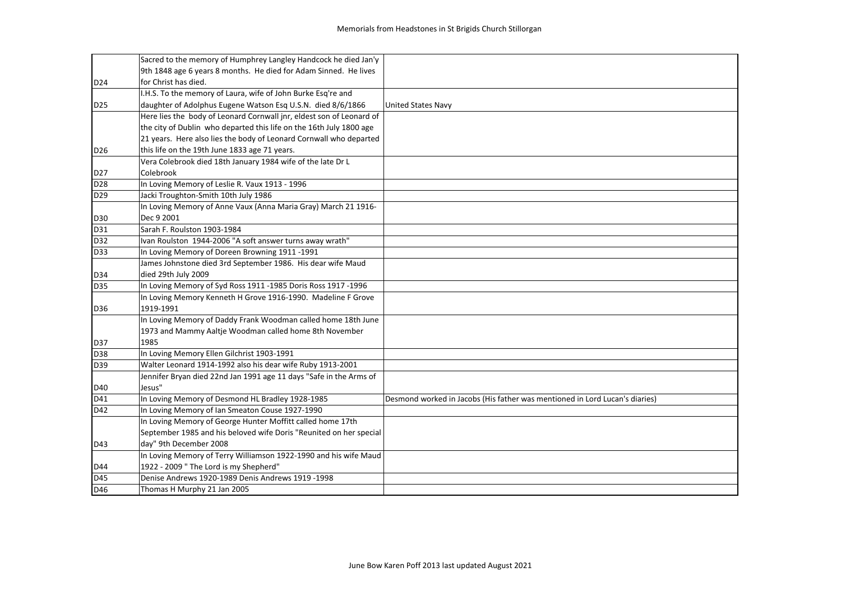|                 | Sacred to the memory of Humphrey Langley Handcock he died Jan'y      |                                                                             |
|-----------------|----------------------------------------------------------------------|-----------------------------------------------------------------------------|
|                 | 9th 1848 age 6 years 8 months. He died for Adam Sinned. He lives     |                                                                             |
| D <sub>24</sub> | for Christ has died.                                                 |                                                                             |
|                 | I.H.S. To the memory of Laura, wife of John Burke Esq're and         |                                                                             |
| D <sub>25</sub> | daughter of Adolphus Eugene Watson Esq U.S.N. died 8/6/1866          | <b>United States Navy</b>                                                   |
|                 | Here lies the body of Leonard Cornwall jnr, eldest son of Leonard of |                                                                             |
|                 | the city of Dublin who departed this life on the 16th July 1800 age  |                                                                             |
|                 | 21 years. Here also lies the body of Leonard Cornwall who departed   |                                                                             |
| D <sub>26</sub> | this life on the 19th June 1833 age 71 years.                        |                                                                             |
|                 | Vera Colebrook died 18th January 1984 wife of the late Dr L          |                                                                             |
| D <sub>27</sub> | Colebrook                                                            |                                                                             |
| D <sub>28</sub> | In Loving Memory of Leslie R. Vaux 1913 - 1996                       |                                                                             |
| D <sub>29</sub> | Jacki Troughton-Smith 10th July 1986                                 |                                                                             |
|                 | In Loving Memory of Anne Vaux (Anna Maria Gray) March 21 1916-       |                                                                             |
| D30             | Dec 9 2001                                                           |                                                                             |
| D31             | Sarah F. Roulston 1903-1984                                          |                                                                             |
| D32             | Ivan Roulston 1944-2006 "A soft answer turns away wrath"             |                                                                             |
| D33             | In Loving Memory of Doreen Browning 1911-1991                        |                                                                             |
|                 | James Johnstone died 3rd September 1986. His dear wife Maud          |                                                                             |
| D34             | died 29th July 2009                                                  |                                                                             |
| D35             | In Loving Memory of Syd Ross 1911 -1985 Doris Ross 1917 -1996        |                                                                             |
|                 | In Loving Memory Kenneth H Grove 1916-1990. Madeline F Grove         |                                                                             |
| D36             | 1919-1991                                                            |                                                                             |
|                 | In Loving Memory of Daddy Frank Woodman called home 18th June        |                                                                             |
|                 | 1973 and Mammy Aaltje Woodman called home 8th November               |                                                                             |
| D37             | 1985                                                                 |                                                                             |
| D38             | In Loving Memory Ellen Gilchrist 1903-1991                           |                                                                             |
| D39             | Walter Leonard 1914-1992 also his dear wife Ruby 1913-2001           |                                                                             |
|                 | Jennifer Bryan died 22nd Jan 1991 age 11 days "Safe in the Arms of   |                                                                             |
| D40             | Jesus"                                                               |                                                                             |
| D41             | In Loving Memory of Desmond HL Bradley 1928-1985                     | Desmond worked in Jacobs (His father was mentioned in Lord Lucan's diaries) |
| D42             | In Loving Memory of Ian Smeaton Couse 1927-1990                      |                                                                             |
|                 | In Loving Memory of George Hunter Moffitt called home 17th           |                                                                             |
|                 | September 1985 and his beloved wife Doris "Reunited on her special   |                                                                             |
| D43             | day" 9th December 2008                                               |                                                                             |
|                 | In Loving Memory of Terry Williamson 1922-1990 and his wife Maud     |                                                                             |
| D44             | 1922 - 2009 " The Lord is my Shepherd"                               |                                                                             |
| D45             | Denise Andrews 1920-1989 Denis Andrews 1919 -1998                    |                                                                             |
| D46             | Thomas H Murphy 21 Jan 2005                                          |                                                                             |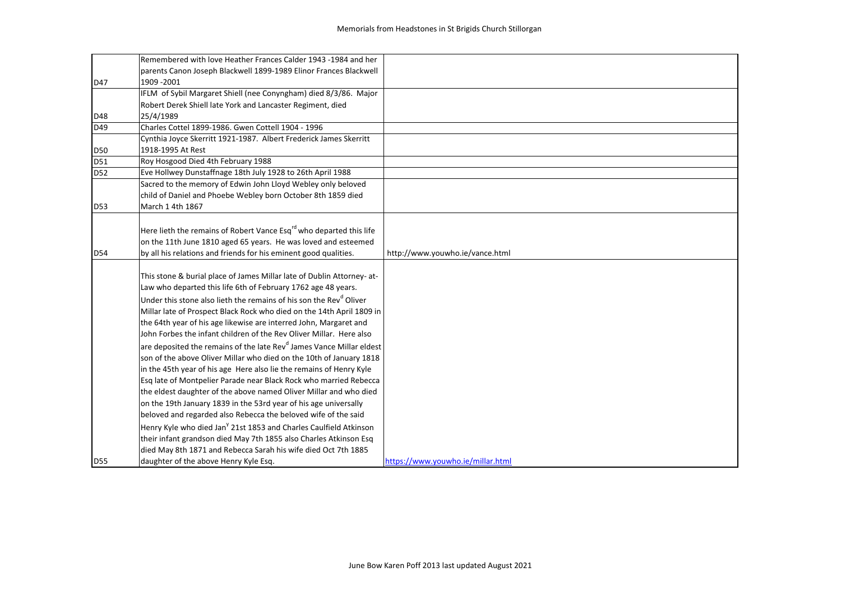|            | Remembered with love Heather Frances Calder 1943 -1984 and her                   |                                   |
|------------|----------------------------------------------------------------------------------|-----------------------------------|
|            | parents Canon Joseph Blackwell 1899-1989 Elinor Frances Blackwell                |                                   |
| D47        | 1909 - 2001                                                                      |                                   |
|            | IFLM of Sybil Margaret Shiell (nee Conyngham) died 8/3/86. Major                 |                                   |
|            | Robert Derek Shiell late York and Lancaster Regiment, died                       |                                   |
| D48        | 25/4/1989                                                                        |                                   |
| D49        | Charles Cottel 1899-1986. Gwen Cottell 1904 - 1996                               |                                   |
|            | Cynthia Joyce Skerritt 1921-1987. Albert Frederick James Skerritt                |                                   |
| <b>D50</b> | 1918-1995 At Rest                                                                |                                   |
| D51        | Roy Hosgood Died 4th February 1988                                               |                                   |
| D52        | Eve Hollwey Dunstaffnage 18th July 1928 to 26th April 1988                       |                                   |
|            | Sacred to the memory of Edwin John Lloyd Webley only beloved                     |                                   |
|            | child of Daniel and Phoebe Webley born October 8th 1859 died                     |                                   |
| D53        | March 1 4th 1867                                                                 |                                   |
|            |                                                                                  |                                   |
|            | Here lieth the remains of Robert Vance Esq <sup>rd</sup> who departed this life  |                                   |
|            | on the 11th June 1810 aged 65 years. He was loved and esteemed                   |                                   |
| D54        | by all his relations and friends for his eminent good qualities.                 | http://www.youwho.ie/vance.html   |
|            |                                                                                  |                                   |
|            | This stone & burial place of James Millar late of Dublin Attorney-at-            |                                   |
|            | Law who departed this life 6th of February 1762 age 48 years.                    |                                   |
|            | Under this stone also lieth the remains of his son the Rev <sup>d</sup> Oliver   |                                   |
|            | Millar late of Prospect Black Rock who died on the 14th April 1809 in            |                                   |
|            | the 64th year of his age likewise are interred John, Margaret and                |                                   |
|            | John Forbes the infant children of the Rev Oliver Millar. Here also              |                                   |
|            | are deposited the remains of the late Rev <sup>d</sup> James Vance Millar eldest |                                   |
|            | son of the above Oliver Millar who died on the 10th of January 1818              |                                   |
|            | in the 45th year of his age Here also lie the remains of Henry Kyle              |                                   |
|            | Esq late of Montpelier Parade near Black Rock who married Rebecca                |                                   |
|            | the eldest daughter of the above named Oliver Millar and who died                |                                   |
|            | on the 19th January 1839 in the 53rd year of his age universally                 |                                   |
|            | beloved and regarded also Rebecca the beloved wife of the said                   |                                   |
|            | Henry Kyle who died Jan <sup>y</sup> 21st 1853 and Charles Caulfield Atkinson    |                                   |
|            | their infant grandson died May 7th 1855 also Charles Atkinson Esq                |                                   |
|            | died May 8th 1871 and Rebecca Sarah his wife died Oct 7th 1885                   |                                   |
| <b>D55</b> | daughter of the above Henry Kyle Esq.                                            | https://www.youwho.ie/millar.html |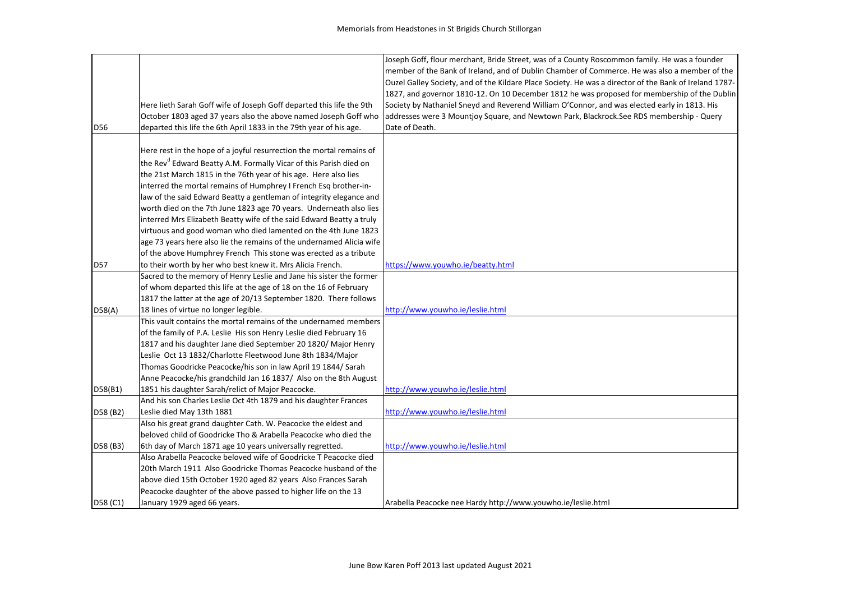|                 |                                                                               | Joseph Goff, flour merchant, Bride Street, was of a County Roscommon family. He was a founder          |
|-----------------|-------------------------------------------------------------------------------|--------------------------------------------------------------------------------------------------------|
|                 |                                                                               | member of the Bank of Ireland, and of Dublin Chamber of Commerce. He was also a member of the          |
|                 |                                                                               | Ouzel Galley Society, and of the Kildare Place Society. He was a director of the Bank of Ireland 1787- |
|                 |                                                                               | 1827, and governor 1810-12. On 10 December 1812 he was proposed for membership of the Dublin           |
|                 | Here lieth Sarah Goff wife of Joseph Goff departed this life the 9th          | Society by Nathaniel Sneyd and Reverend William O'Connor, and was elected early in 1813. His           |
|                 | October 1803 aged 37 years also the above named Joseph Goff who               | addresses were 3 Mountjoy Square, and Newtown Park, Blackrock.See RDS membership - Query               |
| D <sub>56</sub> | departed this life the 6th April 1833 in the 79th year of his age.            | Date of Death.                                                                                         |
|                 |                                                                               |                                                                                                        |
|                 | Here rest in the hope of a joyful resurrection the mortal remains of          |                                                                                                        |
|                 | the Rev <sup>d</sup> Edward Beatty A.M. Formally Vicar of this Parish died on |                                                                                                        |
|                 | the 21st March 1815 in the 76th year of his age. Here also lies               |                                                                                                        |
|                 | interred the mortal remains of Humphrey I French Esq brother-in-              |                                                                                                        |
|                 | law of the said Edward Beatty a gentleman of integrity elegance and           |                                                                                                        |
|                 | worth died on the 7th June 1823 age 70 years. Underneath also lies            |                                                                                                        |
|                 | interred Mrs Elizabeth Beatty wife of the said Edward Beatty a truly          |                                                                                                        |
|                 | virtuous and good woman who died lamented on the 4th June 1823                |                                                                                                        |
|                 | age 73 years here also lie the remains of the undernamed Alicia wife          |                                                                                                        |
|                 | of the above Humphrey French This stone was erected as a tribute              |                                                                                                        |
| <b>D57</b>      | to their worth by her who best knew it. Mrs Alicia French.                    | https://www.youwho.ie/beatty.html                                                                      |
|                 | Sacred to the memory of Henry Leslie and Jane his sister the former           |                                                                                                        |
|                 | of whom departed this life at the age of 18 on the 16 of February             |                                                                                                        |
|                 | 1817 the latter at the age of 20/13 September 1820. There follows             |                                                                                                        |
| D58(A)          | 18 lines of virtue no longer legible.                                         | http://www.youwho.ie/leslie.html                                                                       |
|                 | This vault contains the mortal remains of the undernamed members              |                                                                                                        |
|                 | of the family of P.A. Leslie His son Henry Leslie died February 16            |                                                                                                        |
|                 | 1817 and his daughter Jane died September 20 1820/ Major Henry                |                                                                                                        |
|                 | Leslie Oct 13 1832/Charlotte Fleetwood June 8th 1834/Major                    |                                                                                                        |
|                 | Thomas Goodricke Peacocke/his son in law April 19 1844/ Sarah                 |                                                                                                        |
|                 | Anne Peacocke/his grandchild Jan 16 1837/ Also on the 8th August              |                                                                                                        |
| D58(B1)         | 1851 his daughter Sarah/relict of Major Peacocke.                             | http://www.youwho.ie/leslie.html                                                                       |
|                 | And his son Charles Leslie Oct 4th 1879 and his daughter Frances              |                                                                                                        |
| D58 (B2)        | Leslie died May 13th 1881                                                     | http://www.youwho.ie/leslie.html                                                                       |
|                 | Also his great grand daughter Cath. W. Peacocke the eldest and                |                                                                                                        |
|                 | beloved child of Goodricke Tho & Arabella Peacocke who died the               |                                                                                                        |
| D58 (B3)        | 6th day of March 1871 age 10 years universally regretted.                     | http://www.youwho.ie/leslie.html                                                                       |
|                 | Also Arabella Peacocke beloved wife of Goodricke T Peacocke died              |                                                                                                        |
|                 | 20th March 1911 Also Goodricke Thomas Peacocke husband of the                 |                                                                                                        |
|                 | above died 15th October 1920 aged 82 years Also Frances Sarah                 |                                                                                                        |
|                 | Peacocke daughter of the above passed to higher life on the 13                |                                                                                                        |
| D58 (C1)        | January 1929 aged 66 years.                                                   | Arabella Peacocke nee Hardy http://www.youwho.ie/leslie.html                                           |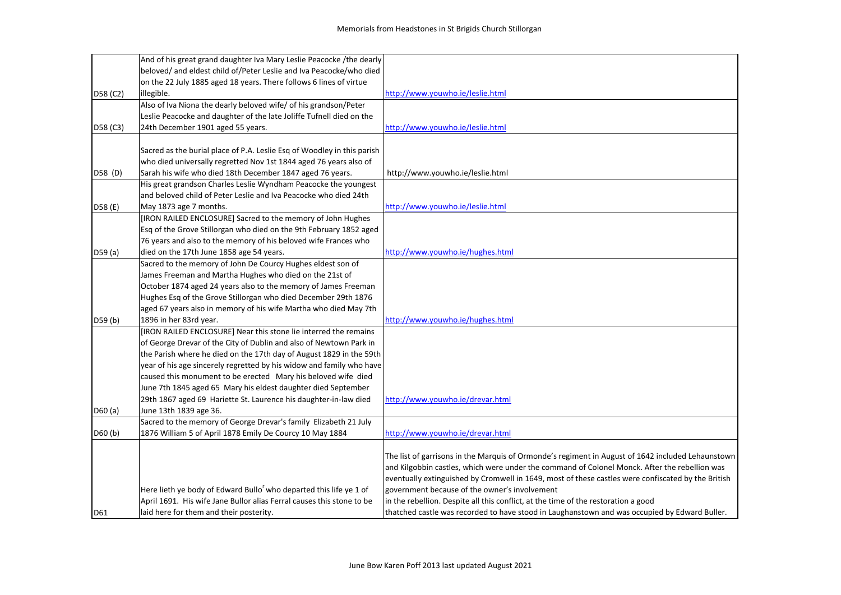|          | And of his great grand daughter Iva Mary Leslie Peacocke /the dearly           |                                                                                                    |
|----------|--------------------------------------------------------------------------------|----------------------------------------------------------------------------------------------------|
|          | beloved/ and eldest child of/Peter Leslie and Iva Peacocke/who died            |                                                                                                    |
|          | on the 22 July 1885 aged 18 years. There follows 6 lines of virtue             |                                                                                                    |
| D58 (C2) | illegible.                                                                     | http://www.youwho.ie/leslie.html                                                                   |
|          | Also of Iva Niona the dearly beloved wife/ of his grandson/Peter               |                                                                                                    |
|          | Leslie Peacocke and daughter of the late Joliffe Tufnell died on the           |                                                                                                    |
| D58 (C3) | 24th December 1901 aged 55 years.                                              | http://www.youwho.ie/leslie.html                                                                   |
|          |                                                                                |                                                                                                    |
|          | Sacred as the burial place of P.A. Leslie Esq of Woodley in this parish        |                                                                                                    |
|          | who died universally regretted Nov 1st 1844 aged 76 years also of              |                                                                                                    |
| D58 (D)  | Sarah his wife who died 18th December 1847 aged 76 years.                      | http://www.youwho.ie/leslie.html                                                                   |
|          | His great grandson Charles Leslie Wyndham Peacocke the youngest                |                                                                                                    |
|          | and beloved child of Peter Leslie and Iva Peacocke who died 24th               |                                                                                                    |
| D58 (E)  | May 1873 age 7 months.                                                         | http://www.youwho.ie/leslie.html                                                                   |
|          | [IRON RAILED ENCLOSURE] Sacred to the memory of John Hughes                    |                                                                                                    |
|          | Esq of the Grove Stillorgan who died on the 9th February 1852 aged             |                                                                                                    |
|          | 76 years and also to the memory of his beloved wife Frances who                |                                                                                                    |
| D59 (a)  | died on the 17th June 1858 age 54 years.                                       | http://www.youwho.ie/hughes.html                                                                   |
|          | Sacred to the memory of John De Courcy Hughes eldest son of                    |                                                                                                    |
|          | James Freeman and Martha Hughes who died on the 21st of                        |                                                                                                    |
|          | October 1874 aged 24 years also to the memory of James Freeman                 |                                                                                                    |
|          | Hughes Esq of the Grove Stillorgan who died December 29th 1876                 |                                                                                                    |
|          | aged 67 years also in memory of his wife Martha who died May 7th               |                                                                                                    |
| D59 (b)  | 1896 in her 83rd year.                                                         | http://www.youwho.ie/hughes.html                                                                   |
|          | [IRON RAILED ENCLOSURE] Near this stone lie interred the remains               |                                                                                                    |
|          | of George Drevar of the City of Dublin and also of Newtown Park in             |                                                                                                    |
|          | the Parish where he died on the 17th day of August 1829 in the 59th            |                                                                                                    |
|          | year of his age sincerely regretted by his widow and family who have           |                                                                                                    |
|          | caused this monument to be erected Mary his beloved wife died                  |                                                                                                    |
|          | June 7th 1845 aged 65 Mary his eldest daughter died September                  |                                                                                                    |
|          | 29th 1867 aged 69 Hariette St. Laurence his daughter-in-law died               | http://www.youwho.ie/drevar.html                                                                   |
| D60 (a)  | June 13th 1839 age 36.                                                         |                                                                                                    |
|          | Sacred to the memory of George Drevar's family Elizabeth 21 July               |                                                                                                    |
| D60(b)   | 1876 William 5 of April 1878 Emily De Courcy 10 May 1884                       | http://www.youwho.ie/drevar.html                                                                   |
|          |                                                                                |                                                                                                    |
|          |                                                                                | The list of garrisons in the Marquis of Ormonde's regiment in August of 1642 included Lehaunstown  |
|          |                                                                                | and Kilgobbin castles, which were under the command of Colonel Monck. After the rebellion was      |
|          |                                                                                | eventually extinguished by Cromwell in 1649, most of these castles were confiscated by the British |
|          | Here lieth ye body of Edward Bullo <sup>r</sup> who departed this life ye 1 of | government because of the owner's involvement                                                      |
|          | April 1691. His wife Jane Bullor alias Ferral causes this stone to be          | in the rebellion. Despite all this conflict, at the time of the restoration a good                 |
| D61      | laid here for them and their posterity.                                        | thatched castle was recorded to have stood in Laughanstown and was occupied by Edward Buller.      |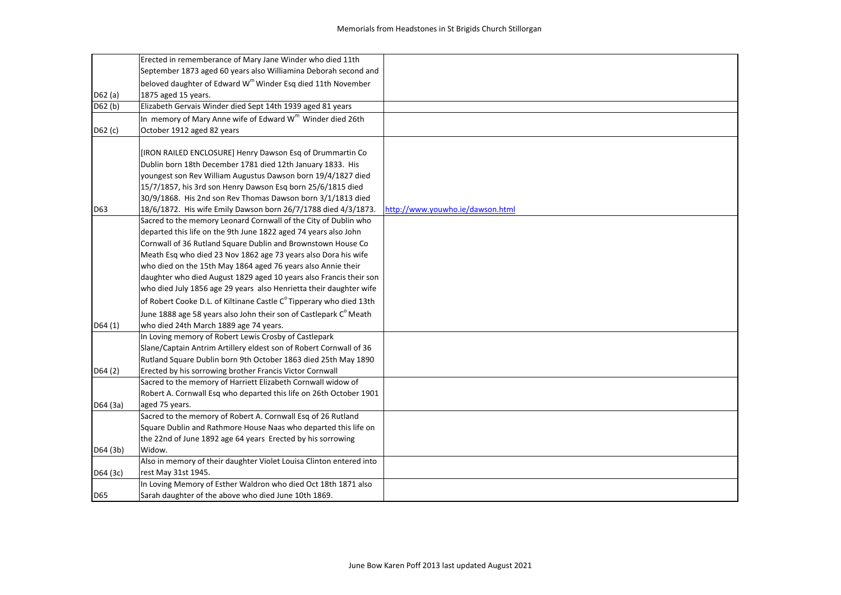|          | Erected in rememberance of Mary Jane Winder who died 11th                                                                                |                                  |
|----------|------------------------------------------------------------------------------------------------------------------------------------------|----------------------------------|
|          | September 1873 aged 60 years also Williamina Deborah second and                                                                          |                                  |
|          | beloved daughter of Edward W <sup>m</sup> Winder Esq died 11th November                                                                  |                                  |
| D62 (a)  | 1875 aged 15 years.                                                                                                                      |                                  |
| D62 (b)  | Elizabeth Gervais Winder died Sept 14th 1939 aged 81 years                                                                               |                                  |
|          | In memory of Mary Anne wife of Edward W <sup>m</sup> Winder died 26th                                                                    |                                  |
| D62 (c)  | October 1912 aged 82 years                                                                                                               |                                  |
|          |                                                                                                                                          |                                  |
|          | [IRON RAILED ENCLOSURE] Henry Dawson Esq of Drummartin Co                                                                                |                                  |
|          | Dublin born 18th December 1781 died 12th January 1833. His                                                                               |                                  |
|          | youngest son Rev William Augustus Dawson born 19/4/1827 died                                                                             |                                  |
|          | 15/7/1857, his 3rd son Henry Dawson Esq born 25/6/1815 died                                                                              |                                  |
|          | 30/9/1868. His 2nd son Rev Thomas Dawson born 3/1/1813 died                                                                              | http://www.youwho.ie/dawson.html |
| D63      | 18/6/1872. His wife Emily Dawson born 26/7/1788 died 4/3/1873.<br>Sacred to the memory Leonard Cornwall of the City of Dublin who        |                                  |
|          | departed this life on the 9th June 1822 aged 74 years also John                                                                          |                                  |
|          | Cornwall of 36 Rutland Square Dublin and Brownstown House Co                                                                             |                                  |
|          | Meath Esq who died 23 Nov 1862 age 73 years also Dora his wife                                                                           |                                  |
|          | who died on the 15th May 1864 aged 76 years also Annie their                                                                             |                                  |
|          |                                                                                                                                          |                                  |
|          | daughter who died August 1829 aged 10 years also Francis their son<br>who died July 1856 age 29 years also Henrietta their daughter wife |                                  |
|          |                                                                                                                                          |                                  |
|          | of Robert Cooke D.L. of Kiltinane Castle C <sup>o</sup> Tipperary who died 13th                                                          |                                  |
|          | June 1888 age 58 years also John their son of Castlepark C <sup>o</sup> Meath                                                            |                                  |
| D64(1)   | who died 24th March 1889 age 74 years.                                                                                                   |                                  |
|          | In Loving memory of Robert Lewis Crosby of Castlepark                                                                                    |                                  |
|          | Slane/Captain Antrim Artillery eldest son of Robert Cornwall of 36                                                                       |                                  |
|          | Rutland Square Dublin born 9th October 1863 died 25th May 1890                                                                           |                                  |
| D64(2)   | Erected by his sorrowing brother Francis Victor Cornwall                                                                                 |                                  |
|          | Sacred to the memory of Harriett Elizabeth Cornwall widow of                                                                             |                                  |
|          | Robert A. Cornwall Esq who departed this life on 26th October 1901                                                                       |                                  |
| D64 (3a) | aged 75 years.                                                                                                                           |                                  |
|          | Sacred to the memory of Robert A. Cornwall Esg of 26 Rutland                                                                             |                                  |
|          | Square Dublin and Rathmore House Naas who departed this life on                                                                          |                                  |
|          | the 22nd of June 1892 age 64 years Erected by his sorrowing                                                                              |                                  |
| D64 (3b) | Widow.                                                                                                                                   |                                  |
|          | Also in memory of their daughter Violet Louisa Clinton entered into                                                                      |                                  |
| D64 (3c) | rest May 31st 1945.                                                                                                                      |                                  |
|          | In Loving Memory of Esther Waldron who died Oct 18th 1871 also                                                                           |                                  |
| D65      | Sarah daughter of the above who died June 10th 1869.                                                                                     |                                  |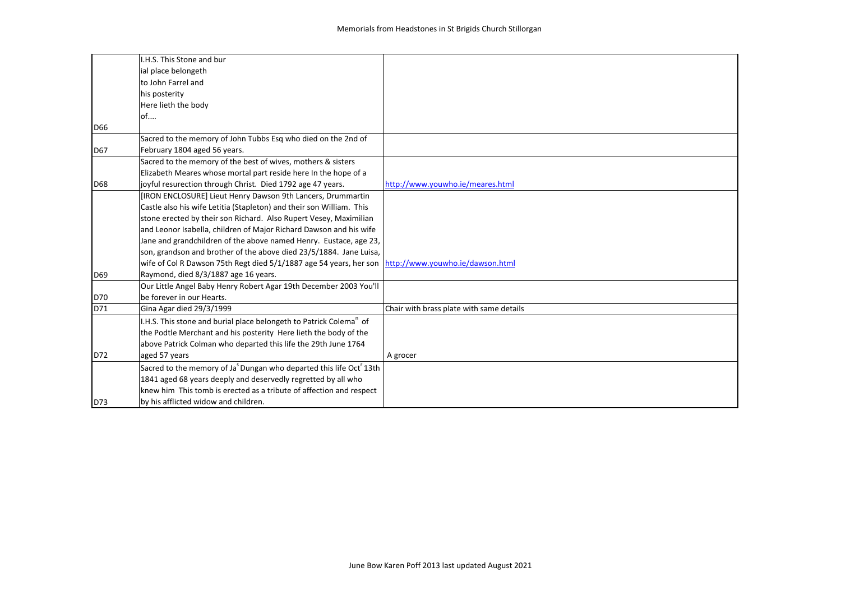|     | I.H.S. This Stone and bur                                                                           |                                          |
|-----|-----------------------------------------------------------------------------------------------------|------------------------------------------|
|     | ial place belongeth                                                                                 |                                          |
|     | to John Farrel and                                                                                  |                                          |
|     | his posterity                                                                                       |                                          |
|     | Here lieth the body                                                                                 |                                          |
|     | of                                                                                                  |                                          |
| D66 |                                                                                                     |                                          |
|     | Sacred to the memory of John Tubbs Esg who died on the 2nd of                                       |                                          |
| D67 | February 1804 aged 56 years.                                                                        |                                          |
|     | Sacred to the memory of the best of wives, mothers & sisters                                        |                                          |
|     | Elizabeth Meares whose mortal part reside here In the hope of a                                     |                                          |
| D68 | joyful resurection through Christ. Died 1792 age 47 years.                                          | http://www.youwho.ie/meares.html         |
|     | [IRON ENCLOSURE] Lieut Henry Dawson 9th Lancers, Drummartin                                         |                                          |
|     | Castle also his wife Letitia (Stapleton) and their son William. This                                |                                          |
|     | stone erected by their son Richard. Also Rupert Vesey, Maximilian                                   |                                          |
|     | and Leonor Isabella, children of Major Richard Dawson and his wife                                  |                                          |
|     | Jane and grandchildren of the above named Henry. Eustace, age 23,                                   |                                          |
|     | son, grandson and brother of the above died 23/5/1884. Jane Luisa,                                  |                                          |
|     | wife of Col R Dawson 75th Regt died 5/1/1887 age 54 years, her son http://www.youwho.ie/dawson.html |                                          |
| D69 | Raymond, died 8/3/1887 age 16 years.                                                                |                                          |
|     | Our Little Angel Baby Henry Robert Agar 19th December 2003 You'll                                   |                                          |
| D70 | be forever in our Hearts.                                                                           |                                          |
| D71 | Gina Agar died 29/3/1999                                                                            | Chair with brass plate with same details |
|     | I.H.S. This stone and burial place belongeth to Patrick Colema <sup>n</sup> of                      |                                          |
|     | the Podtle Merchant and his posterity Here lieth the body of the                                    |                                          |
|     | above Patrick Colman who departed this life the 29th June 1764                                      |                                          |
| D72 | aged 57 years                                                                                       | A grocer                                 |
|     | Sacred to the memory of Ja <sup>s</sup> Dungan who departed this life Oct <sup>r</sup> 13th         |                                          |
|     | 1841 aged 68 years deeply and deservedly regretted by all who                                       |                                          |
|     | knew him This tomb is erected as a tribute of affection and respect                                 |                                          |
| D73 | by his afflicted widow and children.                                                                |                                          |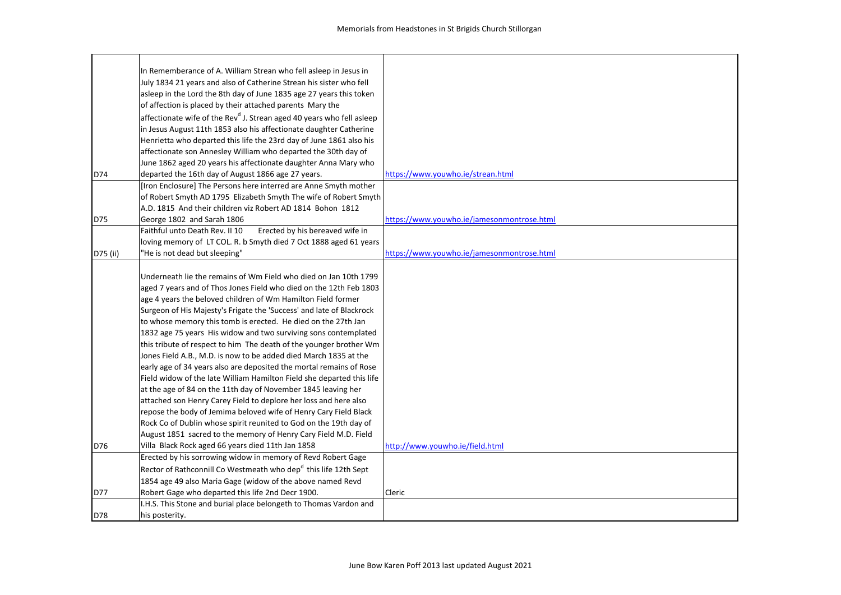|          | In Rememberance of A. William Strean who fell asleep in Jesus in                  |                                            |
|----------|-----------------------------------------------------------------------------------|--------------------------------------------|
|          | July 1834 21 years and also of Catherine Strean his sister who fell               |                                            |
|          | asleep in the Lord the 8th day of June 1835 age 27 years this token               |                                            |
|          | of affection is placed by their attached parents Mary the                         |                                            |
|          | affectionate wife of the Rev <sup>d</sup> J. Strean aged 40 years who fell asleep |                                            |
|          | in Jesus August 11th 1853 also his affectionate daughter Catherine                |                                            |
|          | Henrietta who departed this life the 23rd day of June 1861 also his               |                                            |
|          | affectionate son Annesley William who departed the 30th day of                    |                                            |
|          | June 1862 aged 20 years his affectionate daughter Anna Mary who                   |                                            |
| D74      | departed the 16th day of August 1866 age 27 years.                                | https://www.youwho.ie/strean.html          |
|          | [Iron Enclosure] The Persons here interred are Anne Smyth mother                  |                                            |
|          | of Robert Smyth AD 1795 Elizabeth Smyth The wife of Robert Smyth                  |                                            |
|          | A.D. 1815 And their children viz Robert AD 1814 Bohon 1812                        |                                            |
| D75      | George 1802 and Sarah 1806                                                        | https://www.youwho.ie/jamesonmontrose.html |
|          | Erected by his bereaved wife in<br>Faithful unto Death Rev. II 10                 |                                            |
|          | loving memory of LT COL. R. b Smyth died 7 Oct 1888 aged 61 years                 |                                            |
| D75 (ii) | 'He is not dead but sleeping"                                                     | https://www.youwho.ie/jamesonmontrose.html |
|          |                                                                                   |                                            |
|          | Underneath lie the remains of Wm Field who died on Jan 10th 1799                  |                                            |
|          | aged 7 years and of Thos Jones Field who died on the 12th Feb 1803                |                                            |
|          | age 4 years the beloved children of Wm Hamilton Field former                      |                                            |
|          | Surgeon of His Majesty's Frigate the 'Success' and late of Blackrock              |                                            |
|          | to whose memory this tomb is erected. He died on the 27th Jan                     |                                            |
|          | 1832 age 75 years His widow and two surviving sons contemplated                   |                                            |
|          | this tribute of respect to him The death of the younger brother Wm                |                                            |
|          | Jones Field A.B., M.D. is now to be added died March 1835 at the                  |                                            |
|          | early age of 34 years also are deposited the mortal remains of Rose               |                                            |
|          | Field widow of the late William Hamilton Field she departed this life             |                                            |
|          | at the age of 84 on the 11th day of November 1845 leaving her                     |                                            |
|          | attached son Henry Carey Field to deplore her loss and here also                  |                                            |
|          | repose the body of Jemima beloved wife of Henry Cary Field Black                  |                                            |
|          | Rock Co of Dublin whose spirit reunited to God on the 19th day of                 |                                            |
|          | August 1851 sacred to the memory of Henry Cary Field M.D. Field                   |                                            |
| D76      | Villa Black Rock aged 66 years died 11th Jan 1858                                 | http://www.youwho.ie/field.html            |
|          | Erected by his sorrowing widow in memory of Revd Robert Gage                      |                                            |
|          | Rector of Rathconnill Co Westmeath who dep <sup>d</sup> this life 12th Sept       |                                            |
|          | 1854 age 49 also Maria Gage (widow of the above named Revd                        |                                            |
| D77      | Robert Gage who departed this life 2nd Decr 1900.                                 | <b>Cleric</b>                              |
|          | I.H.S. This Stone and burial place belongeth to Thomas Vardon and                 |                                            |
| D78      | his posterity.                                                                    |                                            |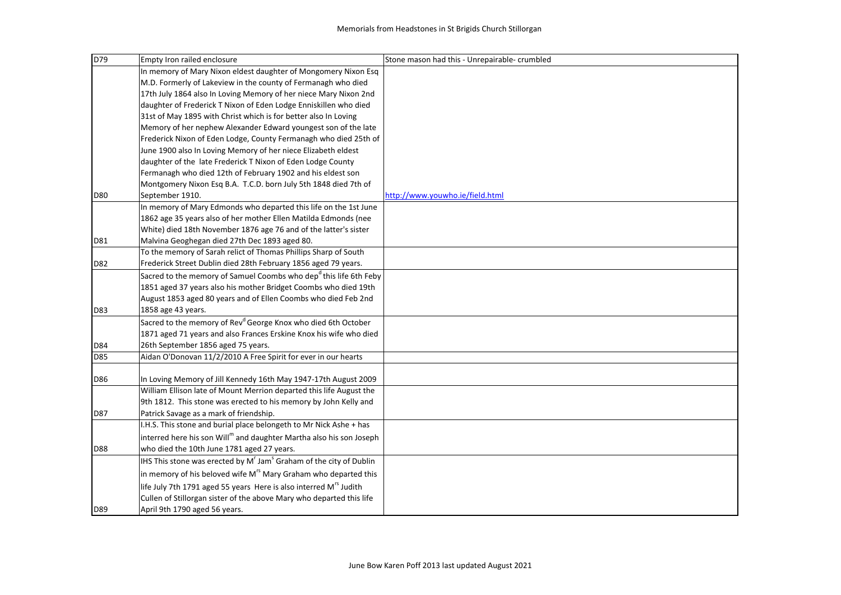| D79        | Empty Iron railed enclosure                                                                | Stone mason had this - Unrepairable- crumbled |
|------------|--------------------------------------------------------------------------------------------|-----------------------------------------------|
|            | In memory of Mary Nixon eldest daughter of Mongomery Nixon Esq                             |                                               |
|            | M.D. Formerly of Lakeview in the county of Fermanagh who died                              |                                               |
|            | 17th July 1864 also In Loving Memory of her niece Mary Nixon 2nd                           |                                               |
|            | daughter of Frederick T Nixon of Eden Lodge Enniskillen who died                           |                                               |
|            | 31st of May 1895 with Christ which is for better also In Loving                            |                                               |
|            | Memory of her nephew Alexander Edward youngest son of the late                             |                                               |
|            | Frederick Nixon of Eden Lodge, County Fermanagh who died 25th of                           |                                               |
|            | June 1900 also In Loving Memory of her niece Elizabeth eldest                              |                                               |
|            | daughter of the late Frederick T Nixon of Eden Lodge County                                |                                               |
|            | Fermanagh who died 12th of February 1902 and his eldest son                                |                                               |
|            | Montgomery Nixon Esq B.A. T.C.D. born July 5th 1848 died 7th of                            |                                               |
| <b>D80</b> | September 1910.                                                                            | http://www.youwho.ie/field.html               |
|            | In memory of Mary Edmonds who departed this life on the 1st June                           |                                               |
|            | 1862 age 35 years also of her mother Ellen Matilda Edmonds (nee                            |                                               |
|            | White) died 18th November 1876 age 76 and of the latter's sister                           |                                               |
| D81        | Malvina Geoghegan died 27th Dec 1893 aged 80.                                              |                                               |
|            | To the memory of Sarah relict of Thomas Phillips Sharp of South                            |                                               |
| D82        | Frederick Street Dublin died 28th February 1856 aged 79 years.                             |                                               |
|            | Sacred to the memory of Samuel Coombs who dep <sup>d</sup> this life 6th Feby              |                                               |
|            | 1851 aged 37 years also his mother Bridget Coombs who died 19th                            |                                               |
|            | August 1853 aged 80 years and of Ellen Coombs who died Feb 2nd                             |                                               |
| D83        | 1858 age 43 years.                                                                         |                                               |
|            | Sacred to the memory of Rev <sup>d</sup> George Knox who died 6th October                  |                                               |
|            | 1871 aged 71 years and also Frances Erskine Knox his wife who died                         |                                               |
| D84        | 26th September 1856 aged 75 years.                                                         |                                               |
| D85        | Aidan O'Donovan 11/2/2010 A Free Spirit for ever in our hearts                             |                                               |
|            | In Loving Memory of Jill Kennedy 16th May 1947-17th August 2009                            |                                               |
| D86        | William Ellison late of Mount Merrion departed this life August the                        |                                               |
|            | 9th 1812. This stone was erected to his memory by John Kelly and                           |                                               |
| D87        | Patrick Savage as a mark of friendship.                                                    |                                               |
|            | I.H.S. This stone and burial place belongeth to Mr Nick Ashe + has                         |                                               |
|            | interred here his son Will <sup>m</sup> and daughter Martha also his son Joseph            |                                               |
|            | who died the 10th June 1781 aged 27 years.                                                 |                                               |
| D88        |                                                                                            |                                               |
|            | IHS This stone was erected by M <sup>r</sup> Jam <sup>s</sup> Graham of the city of Dublin |                                               |
|            | in memory of his beloved wife M <sup>rs</sup> Mary Graham who departed this                |                                               |
|            | life July 7th 1791 aged 55 years Here is also interred M <sup>rs</sup> Judith              |                                               |
|            | Cullen of Stillorgan sister of the above Mary who departed this life                       |                                               |
| D89        | April 9th 1790 aged 56 years.                                                              |                                               |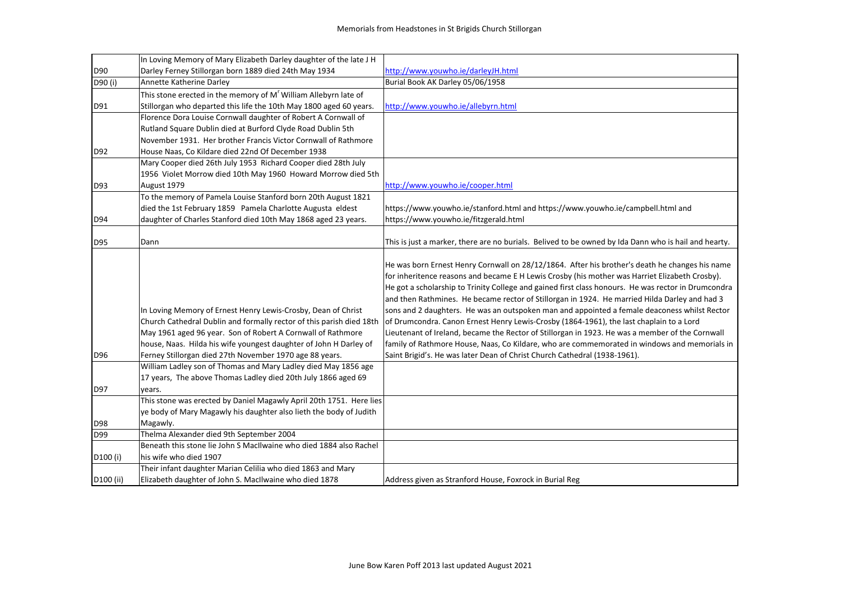|           | In Loving Memory of Mary Elizabeth Darley daughter of the late J H   |                                                                                                      |
|-----------|----------------------------------------------------------------------|------------------------------------------------------------------------------------------------------|
| D90       | Darley Ferney Stillorgan born 1889 died 24th May 1934                | http://www.youwho.ie/darleyJH.html                                                                   |
| D90 (i)   | Annette Katherine Darley                                             | Burial Book AK Darley 05/06/1958                                                                     |
|           | This stone erected in the memory of M' William Allebyrn late of      |                                                                                                      |
| D91       | Stillorgan who departed this life the 10th May 1800 aged 60 years.   | http://www.youwho.ie/allebyrn.html                                                                   |
|           | Florence Dora Louise Cornwall daughter of Robert A Cornwall of       |                                                                                                      |
|           | Rutland Square Dublin died at Burford Clyde Road Dublin 5th          |                                                                                                      |
|           | November 1931. Her brother Francis Victor Cornwall of Rathmore       |                                                                                                      |
| D92       | House Naas, Co Kildare died 22nd Of December 1938                    |                                                                                                      |
|           | Mary Cooper died 26th July 1953 Richard Cooper died 28th July        |                                                                                                      |
|           | 1956 Violet Morrow died 10th May 1960 Howard Morrow died 5th         |                                                                                                      |
| D93       | August 1979                                                          | http://www.youwho.ie/cooper.html                                                                     |
|           | To the memory of Pamela Louise Stanford born 20th August 1821        |                                                                                                      |
|           | died the 1st February 1859 Pamela Charlotte Augusta eldest           | https://www.youwho.ie/stanford.html and https://www.youwho.ie/campbell.html and                      |
| D94       | daughter of Charles Stanford died 10th May 1868 aged 23 years.       | https://www.youwho.ie/fitzgerald.html                                                                |
|           |                                                                      |                                                                                                      |
| D95       | Dann                                                                 | This is just a marker, there are no burials. Belived to be owned by Ida Dann who is hail and hearty. |
|           |                                                                      |                                                                                                      |
|           |                                                                      | He was born Ernest Henry Cornwall on 28/12/1864. After his brother's death he changes his name       |
|           |                                                                      | for inheritence reasons and became E H Lewis Crosby (his mother was Harriet Elizabeth Crosby).       |
|           |                                                                      | He got a scholarship to Trinity College and gained first class honours. He was rector in Drumcondra  |
|           |                                                                      | and then Rathmines. He became rector of Stillorgan in 1924. He married Hilda Darley and had 3        |
|           | In Loving Memory of Ernest Henry Lewis-Crosby, Dean of Christ        | sons and 2 daughters. He was an outspoken man and appointed a female deaconess whilst Rector         |
|           | Church Cathedral Dublin and formally rector of this parish died 18th | of Drumcondra. Canon Ernest Henry Lewis-Crosby (1864-1961), the last chaplain to a Lord              |
|           | May 1961 aged 96 year. Son of Robert A Cornwall of Rathmore          | Lieutenant of Ireland, became the Rector of Stillorgan in 1923. He was a member of the Cornwall      |
|           | house, Naas. Hilda his wife youngest daughter of John H Darley of    | family of Rathmore House, Naas, Co Kildare, who are commemorated in windows and memorials in         |
| D96       | Ferney Stillorgan died 27th November 1970 age 88 years.              | Saint Brigid's. He was later Dean of Christ Church Cathedral (1938-1961).                            |
|           | William Ladley son of Thomas and Mary Ladley died May 1856 age       |                                                                                                      |
|           | 17 years, The above Thomas Ladley died 20th July 1866 aged 69        |                                                                                                      |
| D97       | years.                                                               |                                                                                                      |
|           | This stone was erected by Daniel Magawly April 20th 1751. Here lies  |                                                                                                      |
|           | ye body of Mary Magawly his daughter also lieth the body of Judith   |                                                                                                      |
| D98       | Magawly.                                                             |                                                                                                      |
| D99       | Thelma Alexander died 9th September 2004                             |                                                                                                      |
|           | Beneath this stone lie John S MacIlwaine who died 1884 also Rachel   |                                                                                                      |
| D100 (i)  | his wife who died 1907                                               |                                                                                                      |
|           | Their infant daughter Marian Celilia who died 1863 and Mary          |                                                                                                      |
| D100 (ii) | Elizabeth daughter of John S. MacIlwaine who died 1878               | Address given as Stranford House, Foxrock in Burial Reg                                              |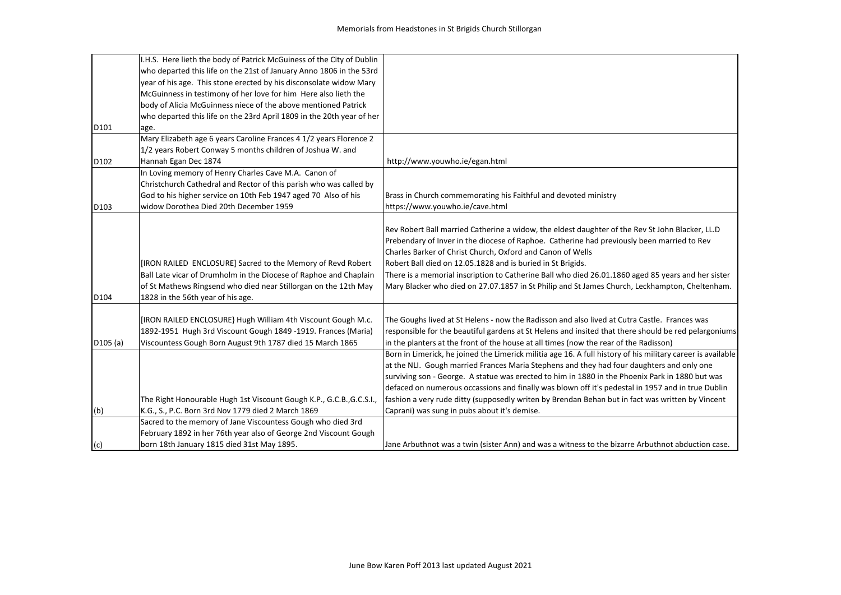|         | I.H.S. Here lieth the body of Patrick McGuiness of the City of Dublin                                                                                                                                                                    |                                                                                                                                                                                                                                                                                                                                                                                                                                                                                                                                    |
|---------|------------------------------------------------------------------------------------------------------------------------------------------------------------------------------------------------------------------------------------------|------------------------------------------------------------------------------------------------------------------------------------------------------------------------------------------------------------------------------------------------------------------------------------------------------------------------------------------------------------------------------------------------------------------------------------------------------------------------------------------------------------------------------------|
|         | who departed this life on the 21st of January Anno 1806 in the 53rd                                                                                                                                                                      |                                                                                                                                                                                                                                                                                                                                                                                                                                                                                                                                    |
|         | year of his age. This stone erected by his disconsolate widow Mary                                                                                                                                                                       |                                                                                                                                                                                                                                                                                                                                                                                                                                                                                                                                    |
|         | McGuinness in testimony of her love for him Here also lieth the                                                                                                                                                                          |                                                                                                                                                                                                                                                                                                                                                                                                                                                                                                                                    |
|         | body of Alicia McGuinness niece of the above mentioned Patrick                                                                                                                                                                           |                                                                                                                                                                                                                                                                                                                                                                                                                                                                                                                                    |
|         | who departed this life on the 23rd April 1809 in the 20th year of her                                                                                                                                                                    |                                                                                                                                                                                                                                                                                                                                                                                                                                                                                                                                    |
| D101    | age.                                                                                                                                                                                                                                     |                                                                                                                                                                                                                                                                                                                                                                                                                                                                                                                                    |
|         | Mary Elizabeth age 6 years Caroline Frances 4 1/2 years Florence 2                                                                                                                                                                       |                                                                                                                                                                                                                                                                                                                                                                                                                                                                                                                                    |
|         | 1/2 years Robert Conway 5 months children of Joshua W. and                                                                                                                                                                               |                                                                                                                                                                                                                                                                                                                                                                                                                                                                                                                                    |
| D102    | Hannah Egan Dec 1874                                                                                                                                                                                                                     | http://www.youwho.ie/egan.html                                                                                                                                                                                                                                                                                                                                                                                                                                                                                                     |
|         | In Loving memory of Henry Charles Cave M.A. Canon of                                                                                                                                                                                     |                                                                                                                                                                                                                                                                                                                                                                                                                                                                                                                                    |
|         | Christchurch Cathedral and Rector of this parish who was called by                                                                                                                                                                       |                                                                                                                                                                                                                                                                                                                                                                                                                                                                                                                                    |
|         | God to his higher service on 10th Feb 1947 aged 70 Also of his                                                                                                                                                                           | Brass in Church commemorating his Faithful and devoted ministry                                                                                                                                                                                                                                                                                                                                                                                                                                                                    |
| D103    | widow Dorothea Died 20th December 1959                                                                                                                                                                                                   | https://www.youwho.ie/cave.html                                                                                                                                                                                                                                                                                                                                                                                                                                                                                                    |
| D104    | [IRON RAILED ENCLOSURE] Sacred to the Memory of Revd Robert<br>Ball Late vicar of Drumholm in the Diocese of Raphoe and Chaplain<br>of St Mathews Ringsend who died near Stillorgan on the 12th May<br>1828 in the 56th year of his age. | Rev Robert Ball married Catherine a widow, the eldest daughter of the Rev St John Blacker, LL.D<br>Prebendary of Inver in the diocese of Raphoe. Catherine had previously been married to Rev<br>Charles Barker of Christ Church, Oxford and Canon of Wells<br>Robert Ball died on 12.05.1828 and is buried in St Brigids.<br>There is a memorial inscription to Catherine Ball who died 26.01.1860 aged 85 years and her sister<br>Mary Blacker who died on 27.07.1857 in St Philip and St James Church, Leckhampton, Cheltenham. |
|         | [IRON RAILED ENCLOSURE} Hugh William 4th Viscount Gough M.c.                                                                                                                                                                             | The Goughs lived at St Helens - now the Radisson and also lived at Cutra Castle. Frances was                                                                                                                                                                                                                                                                                                                                                                                                                                       |
|         | 1892-1951 Hugh 3rd Viscount Gough 1849 -1919. Frances (Maria)                                                                                                                                                                            | responsible for the beautiful gardens at St Helens and insited that there should be red pelargoniums                                                                                                                                                                                                                                                                                                                                                                                                                               |
| D105(a) | Viscountess Gough Born August 9th 1787 died 15 March 1865                                                                                                                                                                                | in the planters at the front of the house at all times (now the rear of the Radisson)                                                                                                                                                                                                                                                                                                                                                                                                                                              |
|         |                                                                                                                                                                                                                                          | Born in Limerick, he joined the Limerick militia age 16. A full history of his military career is available<br>at the NLI. Gough married Frances Maria Stephens and they had four daughters and only one<br>surviving son - George. A statue was erected to him in 1880 in the Phoenix Park in 1880 but was<br>defaced on numerous occassions and finally was blown off it's pedestal in 1957 and in true Dublin                                                                                                                   |
|         | The Right Honourable Hugh 1st Viscount Gough K.P., G.C.B., G.C.S.I.,                                                                                                                                                                     | fashion a very rude ditty (supposedly writen by Brendan Behan but in fact was written by Vincent                                                                                                                                                                                                                                                                                                                                                                                                                                   |
| (b)     | K.G., S., P.C. Born 3rd Nov 1779 died 2 March 1869                                                                                                                                                                                       | Caprani) was sung in pubs about it's demise.                                                                                                                                                                                                                                                                                                                                                                                                                                                                                       |
| (c)     | Sacred to the memory of Jane Viscountess Gough who died 3rd<br>February 1892 in her 76th year also of George 2nd Viscount Gough<br>born 18th January 1815 died 31st May 1895.                                                            | Jane Arbuthnot was a twin (sister Ann) and was a witness to the bizarre Arbuthnot abduction case.                                                                                                                                                                                                                                                                                                                                                                                                                                  |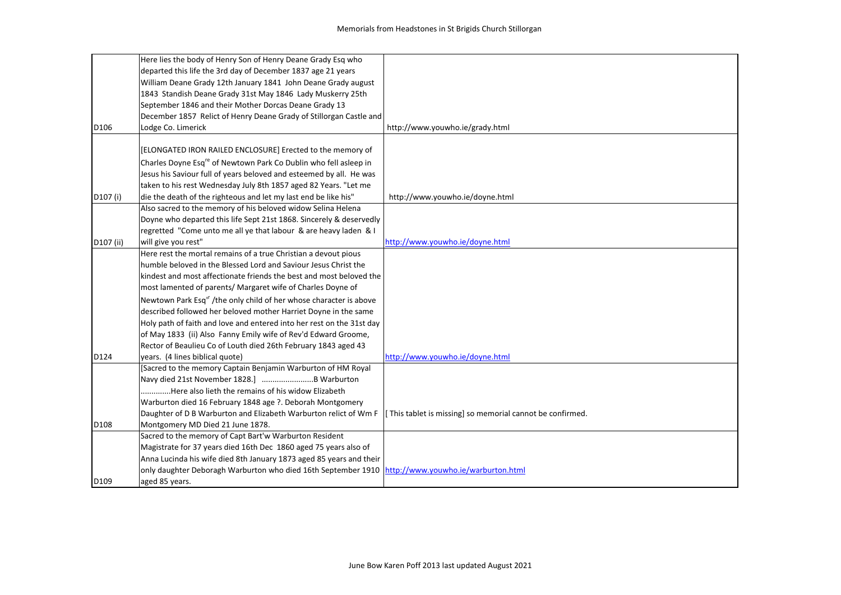|           | Here lies the body of Henry Son of Henry Deane Grady Esq who                                      |                                                           |
|-----------|---------------------------------------------------------------------------------------------------|-----------------------------------------------------------|
|           | departed this life the 3rd day of December 1837 age 21 years                                      |                                                           |
|           | William Deane Grady 12th January 1841 John Deane Grady august                                     |                                                           |
|           | 1843 Standish Deane Grady 31st May 1846 Lady Muskerry 25th                                        |                                                           |
|           | September 1846 and their Mother Dorcas Deane Grady 13                                             |                                                           |
|           | December 1857 Relict of Henry Deane Grady of Stillorgan Castle and                                |                                                           |
| D106      | Lodge Co. Limerick                                                                                | http://www.youwho.ie/grady.html                           |
|           |                                                                                                   |                                                           |
|           | [ELONGATED IRON RAILED ENCLOSURE] Erected to the memory of                                        |                                                           |
|           | Charles Doyne Esq <sup>re</sup> of Newtown Park Co Dublin who fell asleep in                      |                                                           |
|           | Jesus his Saviour full of years beloved and esteemed by all. He was                               |                                                           |
|           | taken to his rest Wednesday July 8th 1857 aged 82 Years. "Let me                                  |                                                           |
| D107 (i)  | die the death of the righteous and let my last end be like his"                                   | http://www.youwho.ie/doyne.html                           |
|           | Also sacred to the memory of his beloved widow Selina Helena                                      |                                                           |
|           | Doyne who departed this life Sept 21st 1868. Sincerely & deservedly                               |                                                           |
|           | regretted "Come unto me all ye that labour & are heavy laden & I                                  |                                                           |
| D107 (ii) | will give you rest"                                                                               | http://www.youwho.ie/doyne.html                           |
|           | Here rest the mortal remains of a true Christian a devout pious                                   |                                                           |
|           | humble beloved in the Blessed Lord and Saviour Jesus Christ the                                   |                                                           |
|           | kindest and most affectionate friends the best and most beloved the                               |                                                           |
|           | most lamented of parents/ Margaret wife of Charles Doyne of                                       |                                                           |
|           | Newtown Park Esq <sup>1</sup> /the only child of her whose character is above                     |                                                           |
|           | described followed her beloved mother Harriet Doyne in the same                                   |                                                           |
|           | Holy path of faith and love and entered into her rest on the 31st day                             |                                                           |
|           | of May 1833 (ii) Also Fanny Emily wife of Rev'd Edward Groome,                                    |                                                           |
|           | Rector of Beaulieu Co of Louth died 26th February 1843 aged 43                                    |                                                           |
| D124      | years. (4 lines biblical quote)                                                                   | http://www.youwho.ie/doyne.html                           |
|           | [Sacred to the memory Captain Benjamin Warburton of HM Royal                                      |                                                           |
|           | Navy died 21st November 1828.]  B Warburton                                                       |                                                           |
|           | Here also lieth the remains of his widow Elizabeth                                                |                                                           |
|           | Warburton died 16 February 1848 age ?. Deborah Montgomery                                         |                                                           |
|           | Daughter of D B Warburton and Elizabeth Warburton relict of Wm F                                  | [This tablet is missing] so memorial cannot be confirmed. |
| D108      | Montgomery MD Died 21 June 1878.                                                                  |                                                           |
|           | Sacred to the memory of Capt Bart'w Warburton Resident                                            |                                                           |
|           | Magistrate for 37 years died 16th Dec 1860 aged 75 years also of                                  |                                                           |
|           | Anna Lucinda his wife died 8th January 1873 aged 85 years and their                               |                                                           |
|           | only daughter Deboragh Warburton who died 16th September 1910 http://www.youwho.ie/warburton.html |                                                           |
| D109      | aged 85 years.                                                                                    |                                                           |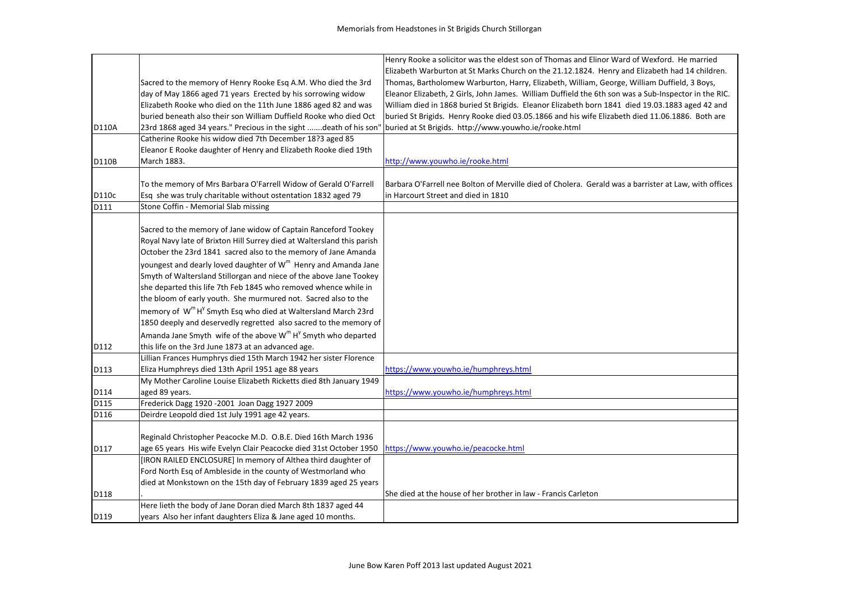|       |                                                                                      | Henry Rooke a solicitor was the eldest son of Thomas and Elinor Ward of Wexford. He married           |
|-------|--------------------------------------------------------------------------------------|-------------------------------------------------------------------------------------------------------|
|       |                                                                                      | Elizabeth Warburton at St Marks Church on the 21.12.1824. Henry and Elizabeth had 14 children.        |
|       | Sacred to the memory of Henry Rooke Esq A.M. Who died the 3rd                        | Thomas, Bartholomew Warburton, Harry, Elizabeth, William, George, William Duffield, 3 Boys,           |
|       | day of May 1866 aged 71 years Erected by his sorrowing widow                         | Eleanor Elizabeth, 2 Girls, John James. William Duffield the 6th son was a Sub-Inspector in the RIC.  |
|       | Elizabeth Rooke who died on the 11th June 1886 aged 82 and was                       | William died in 1868 buried St Brigids. Eleanor Elizabeth born 1841 died 19.03.1883 aged 42 and       |
|       | buried beneath also their son William Duffield Rooke who died Oct                    | buried St Brigids. Henry Rooke died 03.05.1866 and his wife Elizabeth died 11.06.1886. Both are       |
| D110A | 23rd 1868 aged 34 years." Precious in the sight death of his son"                    | buried at St Brigids. http://www.youwho.ie/rooke.html                                                 |
|       | Catherine Rooke his widow died 7th December 18?3 aged 85                             |                                                                                                       |
|       | Eleanor E Rooke daughter of Henry and Elizabeth Rooke died 19th                      |                                                                                                       |
| D110B | March 1883.                                                                          | http://www.youwho.ie/rooke.html                                                                       |
|       |                                                                                      |                                                                                                       |
|       | To the memory of Mrs Barbara O'Farrell Widow of Gerald O'Farrell                     | Barbara O'Farrell nee Bolton of Merville died of Cholera. Gerald was a barrister at Law, with offices |
| D110c | Esq she was truly charitable without ostentation 1832 aged 79                        | in Harcourt Street and died in 1810                                                                   |
| D111  | Stone Coffin - Memorial Slab missing                                                 |                                                                                                       |
|       |                                                                                      |                                                                                                       |
|       | Sacred to the memory of Jane widow of Captain Ranceford Tookey                       |                                                                                                       |
|       | Royal Navy late of Brixton Hill Surrey died at Waltersland this parish               |                                                                                                       |
|       | October the 23rd 1841 sacred also to the memory of Jane Amanda                       |                                                                                                       |
|       | youngest and dearly loved daughter of W <sup>m</sup> Henry and Amanda Jane           |                                                                                                       |
|       | Smyth of Waltersland Stillorgan and niece of the above Jane Tookey                   |                                                                                                       |
|       | she departed this life 7th Feb 1845 who removed whence while in                      |                                                                                                       |
|       | the bloom of early youth. She murmured not. Sacred also to the                       |                                                                                                       |
|       | memory of W <sup>m</sup> H <sup>y</sup> Smyth Esq who died at Waltersland March 23rd |                                                                                                       |
|       | 1850 deeply and deservedly regretted also sacred to the memory of                    |                                                                                                       |
|       | Amanda Jane Smyth wife of the above W <sup>m</sup> H <sup>y</sup> Smyth who departed |                                                                                                       |
| D112  | this life on the 3rd June 1873 at an advanced age.                                   |                                                                                                       |
|       | Lillian Frances Humphrys died 15th March 1942 her sister Florence                    |                                                                                                       |
| D113  | Eliza Humphreys died 13th April 1951 age 88 years                                    | https://www.youwho.ie/humphreys.html                                                                  |
|       | My Mother Caroline Louise Elizabeth Ricketts died 8th January 1949                   |                                                                                                       |
| D114  | aged 89 years.                                                                       | https://www.youwho.ie/humphreys.html                                                                  |
| D115  | Frederick Dagg 1920 - 2001 Joan Dagg 1927 2009                                       |                                                                                                       |
| D116  | Deirdre Leopold died 1st July 1991 age 42 years.                                     |                                                                                                       |
|       |                                                                                      |                                                                                                       |
|       | Reginald Christopher Peacocke M.D. O.B.E. Died 16th March 1936                       |                                                                                                       |
| D117  | age 65 years His wife Evelyn Clair Peacocke died 31st October 1950                   | https://www.youwho.ie/peacocke.html                                                                   |
|       | [IRON RAILED ENCLOSURE] In memory of Althea third daughter of                        |                                                                                                       |
|       | Ford North Esq of Ambleside in the county of Westmorland who                         |                                                                                                       |
|       | died at Monkstown on the 15th day of February 1839 aged 25 years                     |                                                                                                       |
| D118  |                                                                                      | She died at the house of her brother in law - Francis Carleton                                        |
|       | Here lieth the body of Jane Doran died March 8th 1837 aged 44                        |                                                                                                       |
| D119  | years Also her infant daughters Eliza & Jane aged 10 months.                         |                                                                                                       |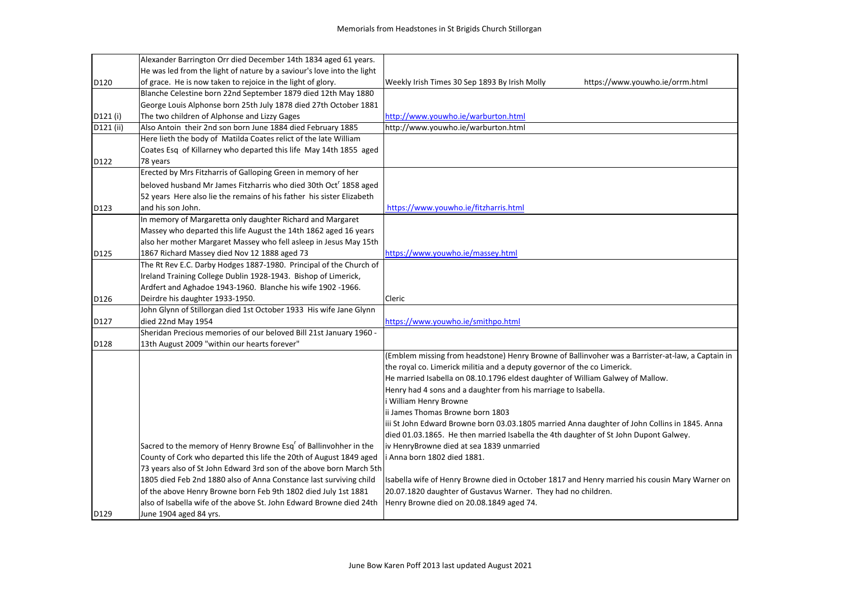|                  | Alexander Barrington Orr died December 14th 1834 aged 61 years.              |                                                                                                  |
|------------------|------------------------------------------------------------------------------|--------------------------------------------------------------------------------------------------|
|                  | He was led from the light of nature by a saviour's love into the light       |                                                                                                  |
| D120             | of grace. He is now taken to rejoice in the light of glory.                  | https://www.youwho.ie/orrm.html<br>Weekly Irish Times 30 Sep 1893 By Irish Molly                 |
|                  | Blanche Celestine born 22nd September 1879 died 12th May 1880                |                                                                                                  |
|                  | George Louis Alphonse born 25th July 1878 died 27th October 1881             |                                                                                                  |
| D121 (i)         | The two children of Alphonse and Lizzy Gages                                 | http://www.youwho.ie/warburton.html                                                              |
| D121 (ii)        | Also Antoin their 2nd son born June 1884 died February 1885                  | http://www.youwho.ie/warburton.html                                                              |
|                  | Here lieth the body of Matilda Coates relict of the late William             |                                                                                                  |
|                  | Coates Esq of Killarney who departed this life May 14th 1855 aged            |                                                                                                  |
| D122             | 78 years                                                                     |                                                                                                  |
|                  | Erected by Mrs Fitzharris of Galloping Green in memory of her                |                                                                                                  |
|                  | beloved husband Mr James Fitzharris who died 30th Oct <sup>r</sup> 1858 aged |                                                                                                  |
|                  | 52 years Here also lie the remains of his father his sister Elizabeth        |                                                                                                  |
| D123             | and his son John.                                                            | https://www.youwho.ie/fitzharris.html                                                            |
|                  | In memory of Margaretta only daughter Richard and Margaret                   |                                                                                                  |
|                  | Massey who departed this life August the 14th 1862 aged 16 years             |                                                                                                  |
|                  | also her mother Margaret Massey who fell asleep in Jesus May 15th            |                                                                                                  |
| D125             | 1867 Richard Massey died Nov 12 1888 aged 73                                 | https://www.youwho.ie/massey.html                                                                |
|                  | The Rt Rev E.C. Darby Hodges 1887-1980. Principal of the Church of           |                                                                                                  |
|                  | Ireland Training College Dublin 1928-1943. Bishop of Limerick,               |                                                                                                  |
|                  | Ardfert and Aghadoe 1943-1960. Blanche his wife 1902-1966.                   |                                                                                                  |
| D <sub>126</sub> | Deirdre his daughter 1933-1950.                                              | Cleric                                                                                           |
|                  | John Glynn of Stillorgan died 1st October 1933 His wife Jane Glynn           |                                                                                                  |
| D127             | died 22nd May 1954                                                           | https://www.youwho.ie/smithpo.html                                                               |
|                  | Sheridan Precious memories of our beloved Bill 21st January 1960 -           |                                                                                                  |
| D128             | 13th August 2009 "within our hearts forever"                                 |                                                                                                  |
|                  |                                                                              | (Emblem missing from headstone) Henry Browne of Ballinvoher was a Barrister-at-law, a Captain in |
|                  |                                                                              | the royal co. Limerick militia and a deputy governor of the co Limerick.                         |
|                  |                                                                              | He married Isabella on 08.10.1796 eldest daughter of William Galwey of Mallow.                   |
|                  |                                                                              | Henry had 4 sons and a daughter from his marriage to Isabella.                                   |
|                  |                                                                              | i William Henry Browne                                                                           |
|                  |                                                                              | ii James Thomas Browne born 1803                                                                 |
|                  |                                                                              | iii St John Edward Browne born 03.03.1805 married Anna daughter of John Collins in 1845. Anna    |
|                  |                                                                              | died 01.03.1865. He then married Isabella the 4th daughter of St John Dupont Galwey.             |
|                  | Sacred to the memory of Henry Browne Esq <sup>r</sup> of Ballinvohher in the | iv HenryBrowne died at sea 1839 unmarried                                                        |
|                  | County of Cork who departed this life the 20th of August 1849 aged           | Anna born 1802 died 1881.                                                                        |
|                  | 73 years also of St John Edward 3rd son of the above born March 5th          |                                                                                                  |
|                  | 1805 died Feb 2nd 1880 also of Anna Constance last surviving child           | Isabella wife of Henry Browne died in October 1817 and Henry married his cousin Mary Warner on   |
|                  | of the above Henry Browne born Feb 9th 1802 died July 1st 1881               | 20.07.1820 daughter of Gustavus Warner. They had no children.                                    |
|                  | also of Isabella wife of the above St. John Edward Browne died 24th          | Henry Browne died on 20.08.1849 aged 74.                                                         |
| D129             | June 1904 aged 84 yrs.                                                       |                                                                                                  |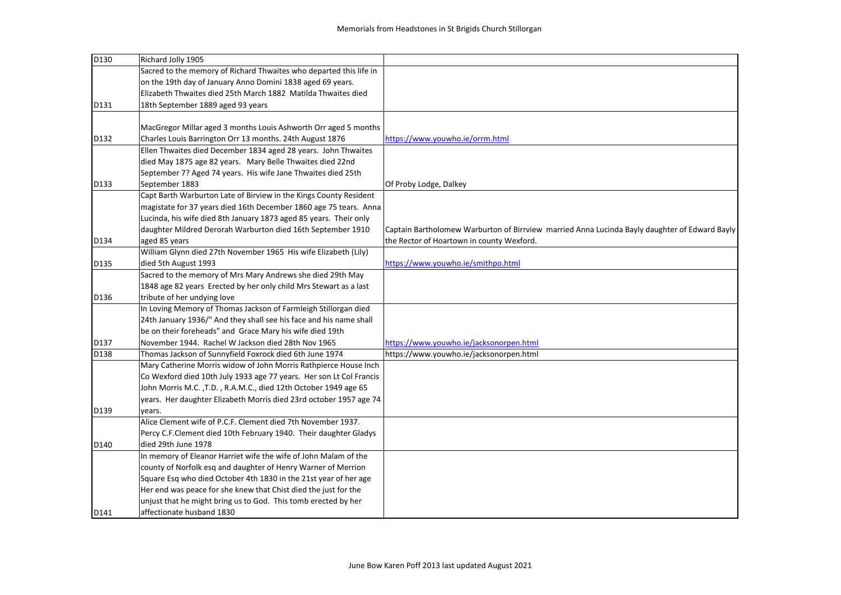| D130 | Richard Jolly 1905                                                  |                                                                                               |
|------|---------------------------------------------------------------------|-----------------------------------------------------------------------------------------------|
|      | Sacred to the memory of Richard Thwaites who departed this life in  |                                                                                               |
|      | on the 19th day of January Anno Domini 1838 aged 69 years.          |                                                                                               |
|      | Elizabeth Thwaites died 25th March 1882 Matilda Thwaites died       |                                                                                               |
| D131 | 18th September 1889 aged 93 years                                   |                                                                                               |
|      |                                                                     |                                                                                               |
|      | MacGregor Millar aged 3 months Louis Ashworth Orr aged 5 months     |                                                                                               |
| D132 | Charles Louis Barrington Orr 13 months. 24th August 1876            | https://www.youwho.ie/orrm.html                                                               |
|      | Ellen Thwaites died December 1834 aged 28 years. John Thwaites      |                                                                                               |
|      | died May 1875 age 82 years. Mary Belle Thwaites died 22nd           |                                                                                               |
|      | September 7? Aged 74 years. His wife Jane Thwaites died 25th        |                                                                                               |
| D133 | September 1883                                                      | Of Proby Lodge, Dalkey                                                                        |
|      | Capt Barth Warburton Late of Birview in the Kings County Resident   |                                                                                               |
|      | magistate for 37 years died 16th December 1860 age 75 tears. Anna   |                                                                                               |
|      | Lucinda, his wife died 8th January 1873 aged 85 years. Their only   |                                                                                               |
|      | daughter Mildred Derorah Warburton died 16th September 1910         | Captain Bartholomew Warburton of Birrview married Anna Lucinda Bayly daughter of Edward Bayly |
| D134 | aged 85 years                                                       | the Rector of Hoartown in county Wexford.                                                     |
|      | William Glynn died 27th November 1965 His wife Elizabeth (Lily)     |                                                                                               |
| D135 | died 5th August 1993                                                | https://www.youwho.ie/smithpo.html                                                            |
|      | Sacred to the memory of Mrs Mary Andrews she died 29th May          |                                                                                               |
|      | 1848 age 82 years Erected by her only child Mrs Stewart as a last   |                                                                                               |
| D136 | tribute of her undying love                                         |                                                                                               |
|      | In Loving Memory of Thomas Jackson of Farmleigh Stillorgan died     |                                                                                               |
|      | 24th January 1936/" And they shall see his face and his name shall  |                                                                                               |
|      | be on their foreheads" and Grace Mary his wife died 19th            |                                                                                               |
| D137 | November 1944. Rachel W Jackson died 28th Nov 1965                  | https://www.youwho.ie/jacksonorpen.html                                                       |
| D138 | Thomas Jackson of Sunnyfield Foxrock died 6th June 1974             | https://www.youwho.ie/jacksonorpen.html                                                       |
|      | Mary Catherine Morris widow of John Morris Rathpierce House Inch    |                                                                                               |
|      | Co Wexford died 10th July 1933 age 77 years. Her son Lt Col Francis |                                                                                               |
|      | John Morris M.C., T.D., R.A.M.C., died 12th October 1949 age 65     |                                                                                               |
|      | years. Her daughter Elizabeth Morris died 23rd october 1957 age 74  |                                                                                               |
| D139 | years.                                                              |                                                                                               |
|      | Alice Clement wife of P.C.F. Clement died 7th November 1937.        |                                                                                               |
|      | Percy C.F.Clement died 10th February 1940. Their daughter Gladys    |                                                                                               |
| D140 | died 29th June 1978                                                 |                                                                                               |
|      | In memory of Eleanor Harriet wife the wife of John Malam of the     |                                                                                               |
|      | county of Norfolk esq and daughter of Henry Warner of Merrion       |                                                                                               |
|      | Square Esq who died October 4th 1830 in the 21st year of her age    |                                                                                               |
|      | Her end was peace for she knew that Chist died the just for the     |                                                                                               |
|      | unjust that he might bring us to God. This tomb erected by her      |                                                                                               |
| D141 | affectionate husband 1830                                           |                                                                                               |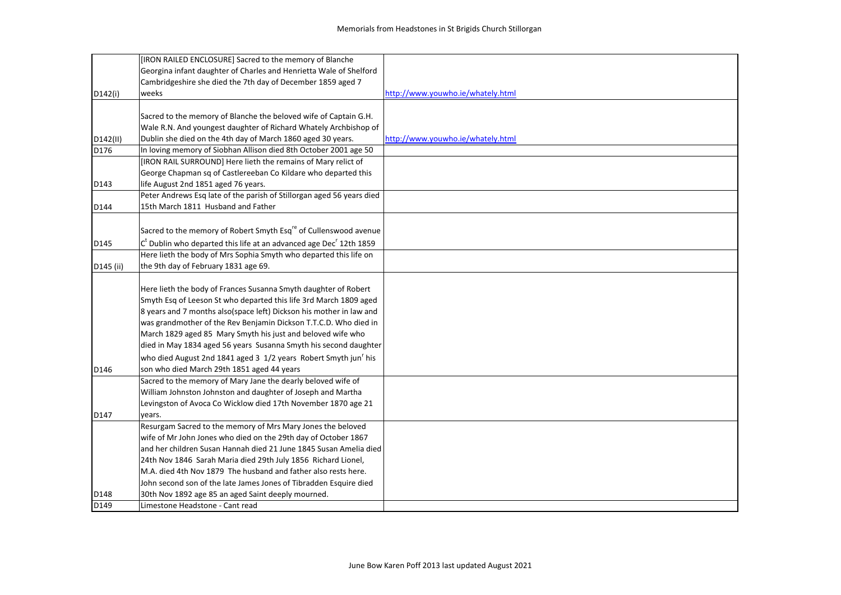|           | [IRON RAILED ENCLOSURE] Sacred to the memory of Blanche                          |                                   |
|-----------|----------------------------------------------------------------------------------|-----------------------------------|
|           | Georgina infant daughter of Charles and Henrietta Wale of Shelford               |                                   |
|           | Cambridgeshire she died the 7th day of December 1859 aged 7                      |                                   |
| D142(i)   | weeks                                                                            | http://www.youwho.ie/whately.html |
|           |                                                                                  |                                   |
|           | Sacred to the memory of Blanche the beloved wife of Captain G.H.                 |                                   |
|           | Wale R.N. And youngest daughter of Richard Whately Archbishop of                 |                                   |
| D142(II)  | Dublin she died on the 4th day of March 1860 aged 30 years.                      | http://www.youwho.ie/whately.html |
| D176      | In loving memory of Siobhan Allison died 8th October 2001 age 50                 |                                   |
|           | [IRON RAIL SURROUND] Here lieth the remains of Mary relict of                    |                                   |
|           | George Chapman sq of Castlereeban Co Kildare who departed this                   |                                   |
| D143      | life August 2nd 1851 aged 76 years.                                              |                                   |
|           | Peter Andrews Esq late of the parish of Stillorgan aged 56 years died            |                                   |
| D144      | 15th March 1811 Husband and Father                                               |                                   |
|           |                                                                                  |                                   |
|           | Sacred to the memory of Robert Smyth Esq <sup>re</sup> of Cullenswood avenue     |                                   |
| D145      | $Ct$ Dublin who departed this life at an advanced age Dec <sup>r</sup> 12th 1859 |                                   |
|           | Here lieth the body of Mrs Sophia Smyth who departed this life on                |                                   |
| D145 (ii) | the 9th day of February 1831 age 69.                                             |                                   |
|           |                                                                                  |                                   |
|           | Here lieth the body of Frances Susanna Smyth daughter of Robert                  |                                   |
|           | Smyth Esq of Leeson St who departed this life 3rd March 1809 aged                |                                   |
|           | 8 years and 7 months also(space left) Dickson his mother in law and              |                                   |
|           | was grandmother of the Rev Benjamin Dickson T.T.C.D. Who died in                 |                                   |
|           | March 1829 aged 85 Mary Smyth his just and beloved wife who                      |                                   |
|           | died in May 1834 aged 56 years Susanna Smyth his second daughter                 |                                   |
|           | who died August 2nd 1841 aged 3 1/2 years Robert Smyth jun <sup>'</sup> his      |                                   |
| D146      | son who died March 29th 1851 aged 44 years                                       |                                   |
|           | Sacred to the memory of Mary Jane the dearly beloved wife of                     |                                   |
|           | William Johnston Johnston and daughter of Joseph and Martha                      |                                   |
|           | Levingston of Avoca Co Wicklow died 17th November 1870 age 21                    |                                   |
| D147      | years.                                                                           |                                   |
|           | Resurgam Sacred to the memory of Mrs Mary Jones the beloved                      |                                   |
|           | wife of Mr John Jones who died on the 29th day of October 1867                   |                                   |
|           | and her children Susan Hannah died 21 June 1845 Susan Amelia died                |                                   |
|           | 24th Nov 1846 Sarah Maria died 29th July 1856 Richard Lionel,                    |                                   |
|           | M.A. died 4th Nov 1879 The husband and father also rests here.                   |                                   |
|           | John second son of the late James Jones of Tibradden Esquire died                |                                   |
| D148      | 30th Nov 1892 age 85 an aged Saint deeply mourned.                               |                                   |
| D149      | Limestone Headstone - Cant read                                                  |                                   |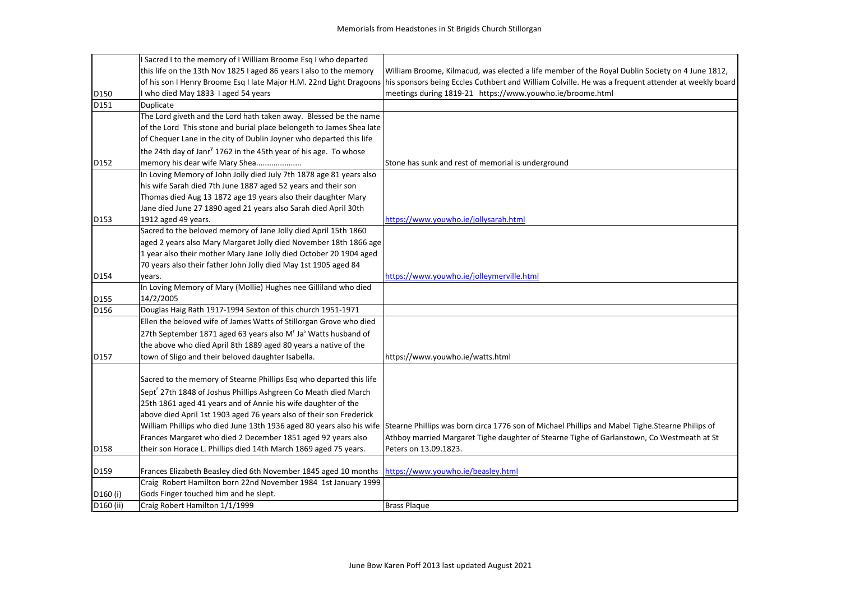|                      | I Sacred I to the memory of I William Broome Esq I who departed                        |                                                                                                                                                                         |
|----------------------|----------------------------------------------------------------------------------------|-------------------------------------------------------------------------------------------------------------------------------------------------------------------------|
|                      | this life on the 13th Nov 1825 I aged 86 years I also to the memory                    | William Broome, Kilmacud, was elected a life member of the Royal Dublin Society on 4 June 1812,                                                                         |
|                      |                                                                                        | of his son I Henry Broome Esq I late Major H.M. 22nd Light Dragoons his sponsors being Eccles Cuthbert and William Colville. He was a frequent attender at weekly board |
| D150                 | I who died May 1833 I aged 54 years                                                    | meetings during 1819-21 https://www.youwho.ie/broome.html                                                                                                               |
| D151                 | Duplicate                                                                              |                                                                                                                                                                         |
|                      | The Lord giveth and the Lord hath taken away. Blessed be the name                      |                                                                                                                                                                         |
|                      | of the Lord This stone and burial place belongeth to James Shea late                   |                                                                                                                                                                         |
|                      | of Chequer Lane in the city of Dublin Joyner who departed this life                    |                                                                                                                                                                         |
|                      | the 24th day of Janr <sup>y</sup> 1762 in the 45th year of his age. To whose           |                                                                                                                                                                         |
| D152                 | memory his dear wife Mary Shea                                                         | Stone has sunk and rest of memorial is underground                                                                                                                      |
|                      | In Loving Memory of John Jolly died July 7th 1878 age 81 years also                    |                                                                                                                                                                         |
|                      | his wife Sarah died 7th June 1887 aged 52 years and their son                          |                                                                                                                                                                         |
|                      | Thomas died Aug 13 1872 age 19 years also their daughter Mary                          |                                                                                                                                                                         |
|                      | Jane died June 27 1890 aged 21 years also Sarah died April 30th                        |                                                                                                                                                                         |
| D153                 | 1912 aged 49 years.                                                                    | https://www.youwho.ie/jollysarah.html                                                                                                                                   |
|                      | Sacred to the beloved memory of Jane Jolly died April 15th 1860                        |                                                                                                                                                                         |
|                      | aged 2 years also Mary Margaret Jolly died November 18th 1866 age                      |                                                                                                                                                                         |
|                      | 1 year also their mother Mary Jane Jolly died October 20 1904 aged                     |                                                                                                                                                                         |
|                      | 70 years also their father John Jolly died May 1st 1905 aged 84                        |                                                                                                                                                                         |
| D154                 | years.                                                                                 | https://www.youwho.ie/jolleymerville.html                                                                                                                               |
|                      | In Loving Memory of Mary (Mollie) Hughes nee Gilliland who died                        |                                                                                                                                                                         |
| D155                 | 14/2/2005                                                                              |                                                                                                                                                                         |
| D156                 | Douglas Haig Rath 1917-1994 Sexton of this church 1951-1971                            |                                                                                                                                                                         |
|                      | Ellen the beloved wife of James Watts of Stillorgan Grove who died                     |                                                                                                                                                                         |
|                      | 27th September 1871 aged 63 years also M <sup>r</sup> Ja <sup>s</sup> Watts husband of |                                                                                                                                                                         |
|                      | the above who died April 8th 1889 aged 80 years a native of the                        |                                                                                                                                                                         |
| D157                 | town of Sligo and their beloved daughter Isabella.                                     | https://www.youwho.ie/watts.html                                                                                                                                        |
|                      |                                                                                        |                                                                                                                                                                         |
|                      | Sacred to the memory of Stearne Phillips Esq who departed this life                    |                                                                                                                                                                         |
|                      | Sept <sup>r</sup> 27th 1848 of Joshus Phillips Ashgreen Co Meath died March            |                                                                                                                                                                         |
|                      | 25th 1861 aged 41 years and of Annie his wife daughter of the                          |                                                                                                                                                                         |
|                      | above died April 1st 1903 aged 76 years also of their son Frederick                    |                                                                                                                                                                         |
|                      |                                                                                        | William Phillips who died June 13th 1936 aged 80 years also his wife Stearne Phillips was born circa 1776 son of Michael Phillips and Mabel Tighe.Stearne Philips of    |
|                      | Frances Margaret who died 2 December 1851 aged 92 years also                           | Athboy married Margaret Tighe daughter of Stearne Tighe of Garlanstown, Co Westmeath at St                                                                              |
| D158                 | their son Horace L. Phillips died 14th March 1869 aged 75 years.                       | Peters on 13.09.1823.                                                                                                                                                   |
|                      |                                                                                        |                                                                                                                                                                         |
| D159                 | Frances Elizabeth Beasley died 6th November 1845 aged 10 months                        | https://www.youwho.ie/beasley.html                                                                                                                                      |
|                      | Craig Robert Hamilton born 22nd November 1984 1st January 1999                         |                                                                                                                                                                         |
| D <sub>160</sub> (i) | Gods Finger touched him and he slept.                                                  |                                                                                                                                                                         |
| D160 (ii)            | Craig Robert Hamilton 1/1/1999                                                         | <b>Brass Plaque</b>                                                                                                                                                     |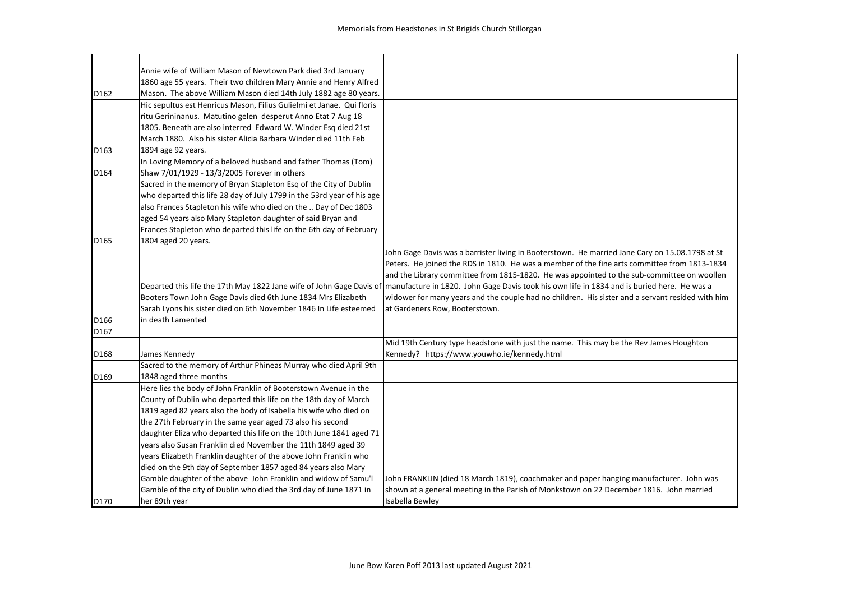|                  | Annie wife of William Mason of Newtown Park died 3rd January           |                                                                                                                                                                  |
|------------------|------------------------------------------------------------------------|------------------------------------------------------------------------------------------------------------------------------------------------------------------|
|                  | 1860 age 55 years. Their two children Mary Annie and Henry Alfred      |                                                                                                                                                                  |
| D162             | Mason. The above William Mason died 14th July 1882 age 80 years.       |                                                                                                                                                                  |
|                  | Hic sepultus est Henricus Mason, Filius Gulielmi et Janae. Qui floris  |                                                                                                                                                                  |
|                  | ritu Gerininanus. Matutino gelen desperut Anno Etat 7 Aug 18           |                                                                                                                                                                  |
|                  | 1805. Beneath are also interred Edward W. Winder Esq died 21st         |                                                                                                                                                                  |
|                  | March 1880. Also his sister Alicia Barbara Winder died 11th Feb        |                                                                                                                                                                  |
| D <sub>163</sub> | 1894 age 92 years.                                                     |                                                                                                                                                                  |
|                  | In Loving Memory of a beloved husband and father Thomas (Tom)          |                                                                                                                                                                  |
| D164             | Shaw 7/01/1929 - 13/3/2005 Forever in others                           |                                                                                                                                                                  |
|                  | Sacred in the memory of Bryan Stapleton Esq of the City of Dublin      |                                                                                                                                                                  |
|                  | who departed this life 28 day of July 1799 in the 53rd year of his age |                                                                                                                                                                  |
|                  | also Frances Stapleton his wife who died on the  Day of Dec 1803       |                                                                                                                                                                  |
|                  | aged 54 years also Mary Stapleton daughter of said Bryan and           |                                                                                                                                                                  |
|                  | Frances Stapleton who departed this life on the 6th day of February    |                                                                                                                                                                  |
| D <sub>165</sub> | 1804 aged 20 years.                                                    |                                                                                                                                                                  |
|                  |                                                                        | John Gage Davis was a barrister living in Booterstown. He married Jane Cary on 15.08.1798 at St                                                                  |
|                  |                                                                        | Peters. He joined the RDS in 1810. He was a member of the fine arts committee from 1813-1834                                                                     |
|                  |                                                                        | and the Library committee from 1815-1820. He was appointed to the sub-committee on woollen                                                                       |
|                  |                                                                        | Departed this life the 17th May 1822 Jane wife of John Gage Davis of manufacture in 1820. John Gage Davis took his own life in 1834 and is buried here. He was a |
|                  | Booters Town John Gage Davis died 6th June 1834 Mrs Elizabeth          | widower for many years and the couple had no children. His sister and a servant resided with him                                                                 |
|                  | Sarah Lyons his sister died on 6th November 1846 In Life esteemed      | at Gardeners Row, Booterstown.                                                                                                                                   |
| D166             | in death Lamented                                                      |                                                                                                                                                                  |
| D167             |                                                                        |                                                                                                                                                                  |
|                  |                                                                        | Mid 19th Century type headstone with just the name. This may be the Rev James Houghton                                                                           |
| D168             | James Kennedy                                                          | Kennedy? https://www.youwho.ie/kennedy.html                                                                                                                      |
|                  | Sacred to the memory of Arthur Phineas Murray who died April 9th       |                                                                                                                                                                  |
| D169             | 1848 aged three months                                                 |                                                                                                                                                                  |
|                  | Here lies the body of John Franklin of Booterstown Avenue in the       |                                                                                                                                                                  |
|                  | County of Dublin who departed this life on the 18th day of March       |                                                                                                                                                                  |
|                  | 1819 aged 82 years also the body of Isabella his wife who died on      |                                                                                                                                                                  |
|                  | the 27th February in the same year aged 73 also his second             |                                                                                                                                                                  |
|                  | daughter Eliza who departed this life on the 10th June 1841 aged 71    |                                                                                                                                                                  |
|                  | years also Susan Franklin died November the 11th 1849 aged 39          |                                                                                                                                                                  |
|                  | years Elizabeth Franklin daughter of the above John Franklin who       |                                                                                                                                                                  |
|                  | died on the 9th day of September 1857 aged 84 years also Mary          |                                                                                                                                                                  |
|                  | Gamble daughter of the above John Franklin and widow of Samu'l         | John FRANKLIN (died 18 March 1819), coachmaker and paper hanging manufacturer. John was                                                                          |
|                  | Gamble of the city of Dublin who died the 3rd day of June 1871 in      | shown at a general meeting in the Parish of Monkstown on 22 December 1816. John married                                                                          |
| D170             | her 89th year                                                          | Isabella Bewley                                                                                                                                                  |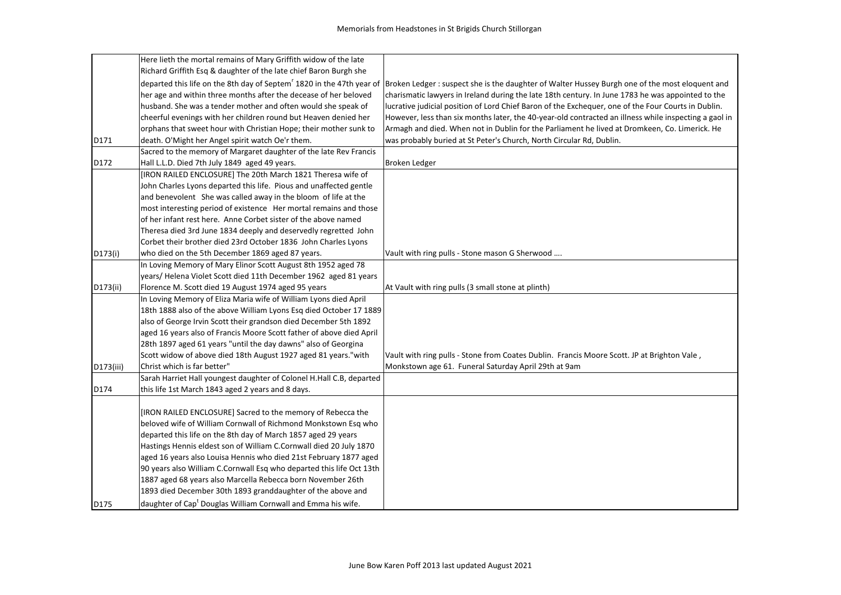|           | Here lieth the mortal remains of Mary Griffith widow of the late         |                                                                                                                                                                                   |
|-----------|--------------------------------------------------------------------------|-----------------------------------------------------------------------------------------------------------------------------------------------------------------------------------|
|           | Richard Griffith Esq & daughter of the late chief Baron Burgh she        |                                                                                                                                                                                   |
|           |                                                                          | departed this life on the 8th day of Septem <sup>r</sup> 1820 in the 47th year of Broken Ledger : suspect she is the daughter of Walter Hussey Burgh one of the most eloquent and |
|           | her age and within three months after the decease of her beloved         | charismatic lawyers in Ireland during the late 18th century. In June 1783 he was appointed to the                                                                                 |
|           | husband. She was a tender mother and often would she speak of            | lucrative judicial position of Lord Chief Baron of the Exchequer, one of the Four Courts in Dublin.                                                                               |
|           | cheerful evenings with her children round but Heaven denied her          | However, less than six months later, the 40-year-old contracted an illness while inspecting a gaol in                                                                             |
|           | orphans that sweet hour with Christian Hope; their mother sunk to        | Armagh and died. When not in Dublin for the Parliament he lived at Dromkeen, Co. Limerick. He                                                                                     |
| D171      | death. O'Might her Angel spirit watch Oe'r them.                         | was probably buried at St Peter's Church, North Circular Rd, Dublin.                                                                                                              |
|           | Sacred to the memory of Margaret daughter of the late Rev Francis        |                                                                                                                                                                                   |
| D172      | Hall L.L.D. Died 7th July 1849 aged 49 years.                            | Broken Ledger                                                                                                                                                                     |
|           | [IRON RAILED ENCLOSURE] The 20th March 1821 Theresa wife of              |                                                                                                                                                                                   |
|           | John Charles Lyons departed this life. Pious and unaffected gentle       |                                                                                                                                                                                   |
|           | and benevolent She was called away in the bloom of life at the           |                                                                                                                                                                                   |
|           | most interesting period of existence Her mortal remains and those        |                                                                                                                                                                                   |
|           | of her infant rest here. Anne Corbet sister of the above named           |                                                                                                                                                                                   |
|           | Theresa died 3rd June 1834 deeply and deservedly regretted John          |                                                                                                                                                                                   |
|           | Corbet their brother died 23rd October 1836 John Charles Lyons           |                                                                                                                                                                                   |
| D173(i)   | who died on the 5th December 1869 aged 87 years.                         | Vault with ring pulls - Stone mason G Sherwood                                                                                                                                    |
|           | In Loving Memory of Mary Elinor Scott August 8th 1952 aged 78            |                                                                                                                                                                                   |
|           | years/Helena Violet Scott died 11th December 1962 aged 81 years          |                                                                                                                                                                                   |
| D173(ii)  | Florence M. Scott died 19 August 1974 aged 95 years                      | At Vault with ring pulls (3 small stone at plinth)                                                                                                                                |
|           | In Loving Memory of Eliza Maria wife of William Lyons died April         |                                                                                                                                                                                   |
|           | 18th 1888 also of the above William Lyons Esq died October 17 1889       |                                                                                                                                                                                   |
|           | also of George Irvin Scott their grandson died December 5th 1892         |                                                                                                                                                                                   |
|           | aged 16 years also of Francis Moore Scott father of above died April     |                                                                                                                                                                                   |
|           | 28th 1897 aged 61 years "until the day dawns" also of Georgina           |                                                                                                                                                                                   |
|           | Scott widow of above died 18th August 1927 aged 81 years."with           | Vault with ring pulls - Stone from Coates Dublin. Francis Moore Scott. JP at Brighton Vale,                                                                                       |
| D173(iii) | Christ which is far better"                                              | Monkstown age 61. Funeral Saturday April 29th at 9am                                                                                                                              |
|           | Sarah Harriet Hall youngest daughter of Colonel H.Hall C.B, departed     |                                                                                                                                                                                   |
| D174      | this life 1st March 1843 aged 2 years and 8 days.                        |                                                                                                                                                                                   |
|           |                                                                          |                                                                                                                                                                                   |
|           | [IRON RAILED ENCLOSURE] Sacred to the memory of Rebecca the              |                                                                                                                                                                                   |
|           | beloved wife of William Cornwall of Richmond Monkstown Esq who           |                                                                                                                                                                                   |
|           | departed this life on the 8th day of March 1857 aged 29 years            |                                                                                                                                                                                   |
|           | Hastings Hennis eldest son of William C.Cornwall died 20 July 1870       |                                                                                                                                                                                   |
|           | aged 16 years also Louisa Hennis who died 21st February 1877 aged        |                                                                                                                                                                                   |
|           | 90 years also William C.Cornwall Esq who departed this life Oct 13th     |                                                                                                                                                                                   |
|           | 1887 aged 68 years also Marcella Rebecca born November 26th              |                                                                                                                                                                                   |
|           | 1893 died December 30th 1893 granddaughter of the above and              |                                                                                                                                                                                   |
| D175      | daughter of Cap <sup>t</sup> Douglas William Cornwall and Emma his wife. |                                                                                                                                                                                   |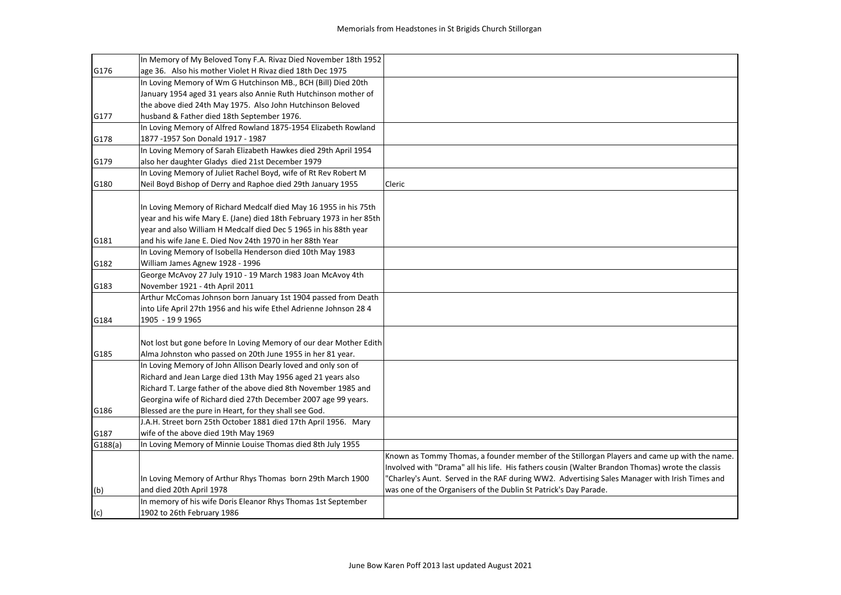|         | In Memory of My Beloved Tony F.A. Rivaz Died November 18th 1952      |                                                                                                  |
|---------|----------------------------------------------------------------------|--------------------------------------------------------------------------------------------------|
| G176    | age 36. Also his mother Violet H Rivaz died 18th Dec 1975            |                                                                                                  |
|         | In Loving Memory of Wm G Hutchinson MB., BCH (Bill) Died 20th        |                                                                                                  |
|         | January 1954 aged 31 years also Annie Ruth Hutchinson mother of      |                                                                                                  |
|         | the above died 24th May 1975. Also John Hutchinson Beloved           |                                                                                                  |
| G177    | husband & Father died 18th September 1976.                           |                                                                                                  |
|         | In Loving Memory of Alfred Rowland 1875-1954 Elizabeth Rowland       |                                                                                                  |
| G178    | 1877 - 1957 Son Donald 1917 - 1987                                   |                                                                                                  |
|         | In Loving Memory of Sarah Elizabeth Hawkes died 29th April 1954      |                                                                                                  |
| G179    | also her daughter Gladys died 21st December 1979                     |                                                                                                  |
|         | In Loving Memory of Juliet Rachel Boyd, wife of Rt Rev Robert M      |                                                                                                  |
| G180    | Neil Boyd Bishop of Derry and Raphoe died 29th January 1955          | Cleric                                                                                           |
|         | In Loving Memory of Richard Medcalf died May 16 1955 in his 75th     |                                                                                                  |
|         | year and his wife Mary E. (Jane) died 18th February 1973 in her 85th |                                                                                                  |
|         | year and also William H Medcalf died Dec 5 1965 in his 88th year     |                                                                                                  |
| G181    | and his wife Jane E. Died Nov 24th 1970 in her 88th Year             |                                                                                                  |
|         | In Loving Memory of Isobella Henderson died 10th May 1983            |                                                                                                  |
| G182    | William James Agnew 1928 - 1996                                      |                                                                                                  |
|         | George McAvoy 27 July 1910 - 19 March 1983 Joan McAvoy 4th           |                                                                                                  |
| G183    | November 1921 - 4th April 2011                                       |                                                                                                  |
|         | Arthur McComas Johnson born January 1st 1904 passed from Death       |                                                                                                  |
|         | into Life April 27th 1956 and his wife Ethel Adrienne Johnson 28 4   |                                                                                                  |
| G184    | 1905 - 19 9 1965                                                     |                                                                                                  |
|         |                                                                      |                                                                                                  |
|         | Not lost but gone before In Loving Memory of our dear Mother Edith   |                                                                                                  |
| G185    | Alma Johnston who passed on 20th June 1955 in her 81 year.           |                                                                                                  |
|         | In Loving Memory of John Allison Dearly loved and only son of        |                                                                                                  |
|         | Richard and Jean Large died 13th May 1956 aged 21 years also         |                                                                                                  |
|         | Richard T. Large father of the above died 8th November 1985 and      |                                                                                                  |
|         | Georgina wife of Richard died 27th December 2007 age 99 years.       |                                                                                                  |
| G186    | Blessed are the pure in Heart, for they shall see God.               |                                                                                                  |
|         | J.A.H. Street born 25th October 1881 died 17th April 1956. Mary      |                                                                                                  |
| G187    | wife of the above died 19th May 1969                                 |                                                                                                  |
| G188(a) | In Loving Memory of Minnie Louise Thomas died 8th July 1955          |                                                                                                  |
|         |                                                                      | Known as Tommy Thomas, a founder member of the Stillorgan Players and came up with the name.     |
|         |                                                                      | Involved with "Drama" all his life. His fathers cousin (Walter Brandon Thomas) wrote the classis |
|         | In Loving Memory of Arthur Rhys Thomas born 29th March 1900          | "Charley's Aunt. Served in the RAF during WW2. Advertising Sales Manager with Irish Times and    |
| (b)     | and died 20th April 1978                                             | was one of the Organisers of the Dublin St Patrick's Day Parade.                                 |
|         | In memory of his wife Doris Eleanor Rhys Thomas 1st September        |                                                                                                  |
| (c)     | 1902 to 26th February 1986                                           |                                                                                                  |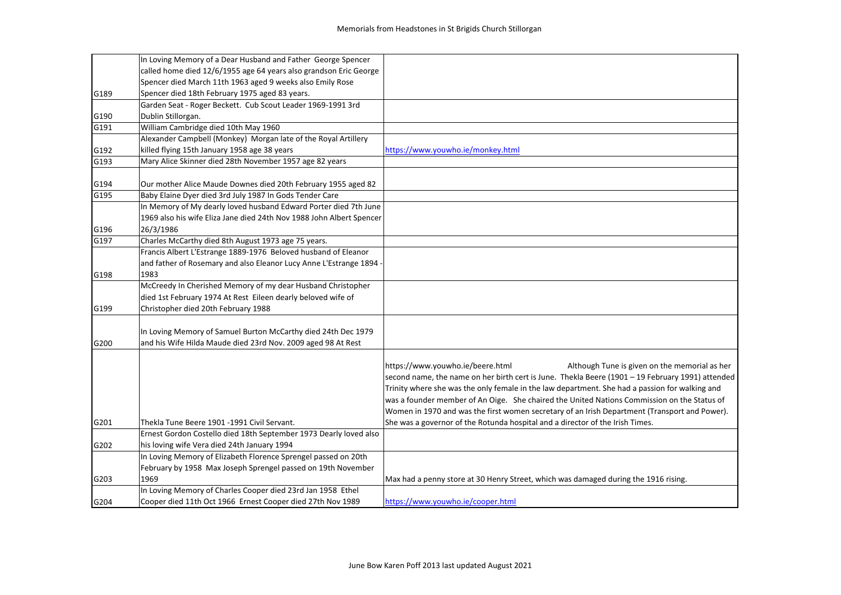|      | In Loving Memory of a Dear Husband and Father George Spencer         |                                                                                                  |
|------|----------------------------------------------------------------------|--------------------------------------------------------------------------------------------------|
|      | called home died 12/6/1955 age 64 years also grandson Eric George    |                                                                                                  |
|      | Spencer died March 11th 1963 aged 9 weeks also Emily Rose            |                                                                                                  |
| G189 | Spencer died 18th February 1975 aged 83 years.                       |                                                                                                  |
|      | Garden Seat - Roger Beckett. Cub Scout Leader 1969-1991 3rd          |                                                                                                  |
| G190 | Dublin Stillorgan.                                                   |                                                                                                  |
| G191 | William Cambridge died 10th May 1960                                 |                                                                                                  |
|      | Alexander Campbell (Monkey) Morgan late of the Royal Artillery       |                                                                                                  |
| G192 | killed flying 15th January 1958 age 38 years                         | https://www.youwho.ie/monkey.html                                                                |
| G193 | Mary Alice Skinner died 28th November 1957 age 82 years              |                                                                                                  |
|      |                                                                      |                                                                                                  |
| G194 | Our mother Alice Maude Downes died 20th February 1955 aged 82        |                                                                                                  |
| G195 | Baby Elaine Dyer died 3rd July 1987 In Gods Tender Care              |                                                                                                  |
|      | In Memory of My dearly loved husband Edward Porter died 7th June     |                                                                                                  |
|      | 1969 also his wife Eliza Jane died 24th Nov 1988 John Albert Spencer |                                                                                                  |
| G196 | 26/3/1986                                                            |                                                                                                  |
| G197 | Charles McCarthy died 8th August 1973 age 75 years.                  |                                                                                                  |
|      | Francis Albert L'Estrange 1889-1976 Beloved husband of Eleanor       |                                                                                                  |
|      | and father of Rosemary and also Eleanor Lucy Anne L'Estrange 1894 -  |                                                                                                  |
| G198 | 1983                                                                 |                                                                                                  |
|      | McCreedy In Cherished Memory of my dear Husband Christopher          |                                                                                                  |
|      | died 1st February 1974 At Rest Eileen dearly beloved wife of         |                                                                                                  |
| G199 | Christopher died 20th February 1988                                  |                                                                                                  |
|      |                                                                      |                                                                                                  |
|      | In Loving Memory of Samuel Burton McCarthy died 24th Dec 1979        |                                                                                                  |
| G200 | and his Wife Hilda Maude died 23rd Nov. 2009 aged 98 At Rest         |                                                                                                  |
|      |                                                                      |                                                                                                  |
|      |                                                                      | https://www.youwho.ie/beere.html<br>Although Tune is given on the memorial as her                |
|      |                                                                      | second name, the name on her birth cert is June. Thekla Beere (1901 - 19 February 1991) attended |
|      |                                                                      | Trinity where she was the only female in the law department. She had a passion for walking and   |
|      |                                                                      | was a founder member of An Oige. She chaired the United Nations Commission on the Status of      |
|      |                                                                      | Women in 1970 and was the first women secretary of an Irish Department (Transport and Power).    |
| G201 | Thekla Tune Beere 1901 -1991 Civil Servant.                          | She was a governor of the Rotunda hospital and a director of the Irish Times.                    |
|      | Ernest Gordon Costello died 18th September 1973 Dearly loved also    |                                                                                                  |
| G202 | his loving wife Vera died 24th January 1994                          |                                                                                                  |
|      | In Loving Memory of Elizabeth Florence Sprengel passed on 20th       |                                                                                                  |
|      | February by 1958 Max Joseph Sprengel passed on 19th November         |                                                                                                  |
| G203 | 1969                                                                 | Max had a penny store at 30 Henry Street, which was damaged during the 1916 rising.              |
|      | In Loving Memory of Charles Cooper died 23rd Jan 1958 Ethel          |                                                                                                  |
| G204 | Cooper died 11th Oct 1966 Ernest Cooper died 27th Nov 1989           | https://www.youwho.ie/cooper.html                                                                |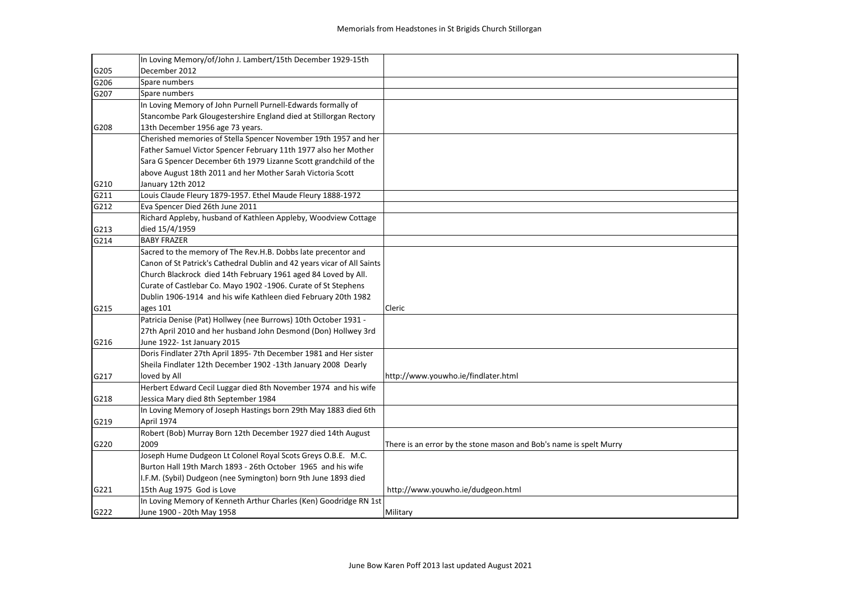|      | In Loving Memory/of/John J. Lambert/15th December 1929-15th             |                                                                    |
|------|-------------------------------------------------------------------------|--------------------------------------------------------------------|
| G205 | December 2012                                                           |                                                                    |
| G206 | Spare numbers                                                           |                                                                    |
| G207 | Spare numbers                                                           |                                                                    |
|      | In Loving Memory of John Purnell Purnell-Edwards formally of            |                                                                    |
|      | Stancombe Park Glougestershire England died at Stillorgan Rectory       |                                                                    |
| G208 | 13th December 1956 age 73 years.                                        |                                                                    |
|      | Cherished memories of Stella Spencer November 19th 1957 and her         |                                                                    |
|      | Father Samuel Victor Spencer February 11th 1977 also her Mother         |                                                                    |
|      | Sara G Spencer December 6th 1979 Lizanne Scott grandchild of the        |                                                                    |
|      | above August 18th 2011 and her Mother Sarah Victoria Scott              |                                                                    |
| G210 | January 12th 2012                                                       |                                                                    |
| G211 | Louis Claude Fleury 1879-1957. Ethel Maude Fleury 1888-1972             |                                                                    |
| G212 | Eva Spencer Died 26th June 2011                                         |                                                                    |
|      | Richard Appleby, husband of Kathleen Appleby, Woodview Cottage          |                                                                    |
| G213 | died 15/4/1959                                                          |                                                                    |
| G214 | <b>BABY FRAZER</b>                                                      |                                                                    |
|      | Sacred to the memory of The Rev.H.B. Dobbs late precentor and           |                                                                    |
|      | Canon of St Patrick's Cathedral Dublin and 42 years vicar of All Saints |                                                                    |
|      | Church Blackrock died 14th February 1961 aged 84 Loved by All.          |                                                                    |
|      | Curate of Castlebar Co. Mayo 1902 -1906. Curate of St Stephens          |                                                                    |
|      | Dublin 1906-1914 and his wife Kathleen died February 20th 1982          |                                                                    |
| G215 | ages 101                                                                | Cleric                                                             |
|      | Patricia Denise (Pat) Hollwey (nee Burrows) 10th October 1931 -         |                                                                    |
|      | 27th April 2010 and her husband John Desmond (Don) Hollwey 3rd          |                                                                    |
| G216 | June 1922-1st January 2015                                              |                                                                    |
|      | Doris Findlater 27th April 1895-7th December 1981 and Her sister        |                                                                    |
|      | Sheila Findlater 12th December 1902 -13th January 2008 Dearly           |                                                                    |
| G217 | loved by All                                                            | http://www.youwho.ie/findlater.html                                |
|      | Herbert Edward Cecil Luggar died 8th November 1974 and his wife         |                                                                    |
| G218 | Jessica Mary died 8th September 1984                                    |                                                                    |
|      | In Loving Memory of Joseph Hastings born 29th May 1883 died 6th         |                                                                    |
| G219 | <b>April 1974</b>                                                       |                                                                    |
|      | Robert (Bob) Murray Born 12th December 1927 died 14th August            |                                                                    |
| G220 | 2009                                                                    | There is an error by the stone mason and Bob's name is spelt Murry |
|      | Joseph Hume Dudgeon Lt Colonel Royal Scots Greys O.B.E. M.C.            |                                                                    |
|      | Burton Hall 19th March 1893 - 26th October 1965 and his wife            |                                                                    |
|      | I.F.M. (Sybil) Dudgeon (nee Symington) born 9th June 1893 died          |                                                                    |
| G221 | 15th Aug 1975 God is Love                                               | http://www.youwho.ie/dudgeon.html                                  |
|      | In Loving Memory of Kenneth Arthur Charles (Ken) Goodridge RN 1st       |                                                                    |
| G222 | June 1900 - 20th May 1958                                               | Military                                                           |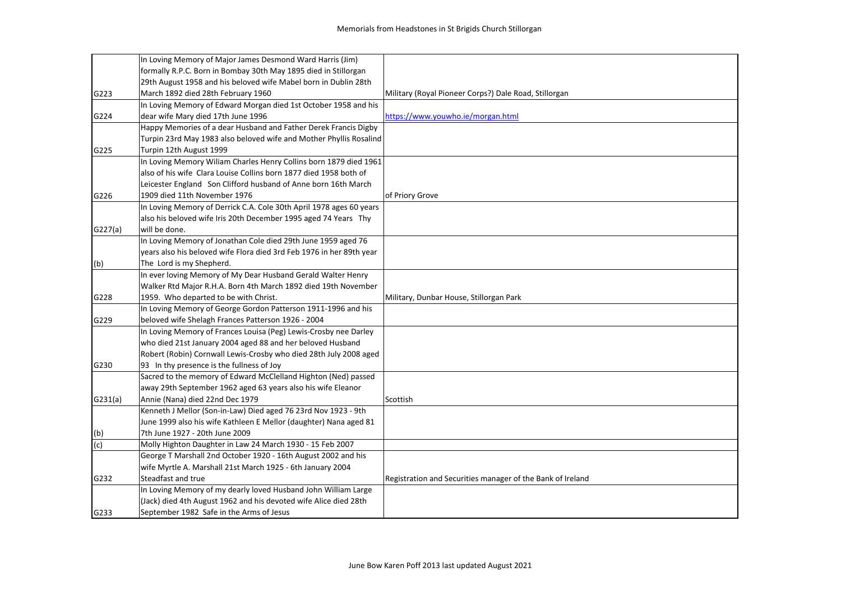|         | In Loving Memory of Major James Desmond Ward Harris (Jim)            |                                                            |
|---------|----------------------------------------------------------------------|------------------------------------------------------------|
|         | formally R.P.C. Born in Bombay 30th May 1895 died in Stillorgan      |                                                            |
|         | 29th August 1958 and his beloved wife Mabel born in Dublin 28th      |                                                            |
| G223    | March 1892 died 28th February 1960                                   | Military (Royal Pioneer Corps?) Dale Road, Stillorgan      |
|         | In Loving Memory of Edward Morgan died 1st October 1958 and his      |                                                            |
| G224    | dear wife Mary died 17th June 1996                                   | https://www.youwho.ie/morgan.html                          |
|         | Happy Memories of a dear Husband and Father Derek Francis Digby      |                                                            |
|         | Turpin 23rd May 1983 also beloved wife and Mother Phyllis Rosalind   |                                                            |
| G225    | Turpin 12th August 1999                                              |                                                            |
|         | In Loving Memory Wiliam Charles Henry Collins born 1879 died 1961    |                                                            |
|         | also of his wife Clara Louise Collins born 1877 died 1958 both of    |                                                            |
|         | Leicester England Son Clifford husband of Anne born 16th March       |                                                            |
| G226    | 1909 died 11th November 1976                                         | of Priory Grove                                            |
|         | In Loving Memory of Derrick C.A. Cole 30th April 1978 ages 60 years  |                                                            |
|         | also his beloved wife Iris 20th December 1995 aged 74 Years Thy      |                                                            |
| G227(a) | will be done.                                                        |                                                            |
|         | In Loving Memory of Jonathan Cole died 29th June 1959 aged 76        |                                                            |
|         | years also his beloved wife Flora died 3rd Feb 1976 in her 89th year |                                                            |
| (b)     | The Lord is my Shepherd.                                             |                                                            |
|         | In ever loving Memory of My Dear Husband Gerald Walter Henry         |                                                            |
|         | Walker Rtd Major R.H.A. Born 4th March 1892 died 19th November       |                                                            |
| G228    | 1959. Who departed to be with Christ.                                | Military, Dunbar House, Stillorgan Park                    |
|         | In Loving Memory of George Gordon Patterson 1911-1996 and his        |                                                            |
| G229    | beloved wife Shelagh Frances Patterson 1926 - 2004                   |                                                            |
|         | In Loving Memory of Frances Louisa (Peg) Lewis-Crosby nee Darley     |                                                            |
|         | who died 21st January 2004 aged 88 and her beloved Husband           |                                                            |
|         | Robert (Robin) Cornwall Lewis-Crosby who died 28th July 2008 aged    |                                                            |
| G230    | 93 In thy presence is the fullness of Joy                            |                                                            |
|         | Sacred to the memory of Edward McClelland Highton (Ned) passed       |                                                            |
|         | away 29th September 1962 aged 63 years also his wife Eleanor         |                                                            |
| G231(a) | Annie (Nana) died 22nd Dec 1979                                      | Scottish                                                   |
|         | Kenneth J Mellor (Son-in-Law) Died aged 76 23rd Nov 1923 - 9th       |                                                            |
|         | June 1999 also his wife Kathleen E Mellor (daughter) Nana aged 81    |                                                            |
| (b)     | 7th June 1927 - 20th June 2009                                       |                                                            |
| (c)     | Molly Highton Daughter in Law 24 March 1930 - 15 Feb 2007            |                                                            |
|         | George T Marshall 2nd October 1920 - 16th August 2002 and his        |                                                            |
|         | wife Myrtle A. Marshall 21st March 1925 - 6th January 2004           |                                                            |
| G232    | Steadfast and true                                                   | Registration and Securities manager of the Bank of Ireland |
|         | In Loving Memory of my dearly loved Husband John William Large       |                                                            |
|         | (Jack) died 4th August 1962 and his devoted wife Alice died 28th     |                                                            |
| G233    | September 1982 Safe in the Arms of Jesus                             |                                                            |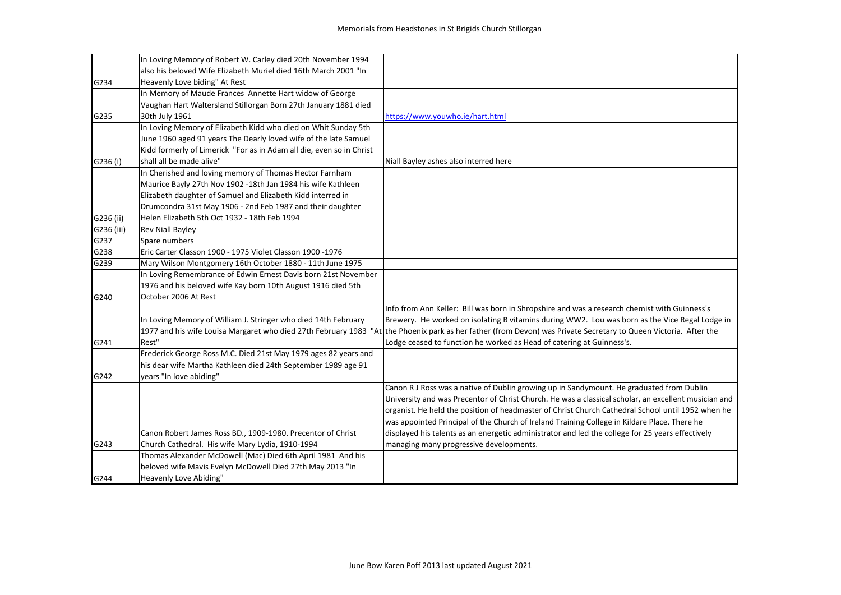|            | In Loving Memory of Robert W. Carley died 20th November 1994         |                                                                                                                                                                  |
|------------|----------------------------------------------------------------------|------------------------------------------------------------------------------------------------------------------------------------------------------------------|
|            | also his beloved Wife Elizabeth Muriel died 16th March 2001 "In      |                                                                                                                                                                  |
| G234       | Heavenly Love biding" At Rest                                        |                                                                                                                                                                  |
|            | In Memory of Maude Frances Annette Hart widow of George              |                                                                                                                                                                  |
|            | Vaughan Hart Waltersland Stillorgan Born 27th January 1881 died      |                                                                                                                                                                  |
| G235       | 30th July 1961                                                       | https://www.youwho.ie/hart.html                                                                                                                                  |
|            | In Loving Memory of Elizabeth Kidd who died on Whit Sunday 5th       |                                                                                                                                                                  |
|            | June 1960 aged 91 years The Dearly loved wife of the late Samuel     |                                                                                                                                                                  |
|            | Kidd formerly of Limerick "For as in Adam all die, even so in Christ |                                                                                                                                                                  |
| G236 (i)   | shall all be made alive"                                             | Niall Bayley ashes also interred here                                                                                                                            |
|            | In Cherished and loving memory of Thomas Hector Farnham              |                                                                                                                                                                  |
|            | Maurice Bayly 27th Nov 1902 -18th Jan 1984 his wife Kathleen         |                                                                                                                                                                  |
|            | Elizabeth daughter of Samuel and Elizabeth Kidd interred in          |                                                                                                                                                                  |
|            | Drumcondra 31st May 1906 - 2nd Feb 1987 and their daughter           |                                                                                                                                                                  |
| G236 (ii)  | Helen Elizabeth 5th Oct 1932 - 18th Feb 1994                         |                                                                                                                                                                  |
| G236 (iii) | <b>Rev Niall Bayley</b>                                              |                                                                                                                                                                  |
| G237       | Spare numbers                                                        |                                                                                                                                                                  |
| G238       | Eric Carter Classon 1900 - 1975 Violet Classon 1900 -1976            |                                                                                                                                                                  |
| G239       | Mary Wilson Montgomery 16th October 1880 - 11th June 1975            |                                                                                                                                                                  |
|            | In Loving Remembrance of Edwin Ernest Davis born 21st November       |                                                                                                                                                                  |
|            | 1976 and his beloved wife Kay born 10th August 1916 died 5th         |                                                                                                                                                                  |
| G240       | October 2006 At Rest                                                 |                                                                                                                                                                  |
|            |                                                                      | Info from Ann Keller: Bill was born in Shropshire and was a research chemist with Guinness's                                                                     |
|            | In Loving Memory of William J. Stringer who died 14th February       | Brewery. He worked on isolating B vitamins during WW2. Lou was born as the Vice Regal Lodge in                                                                   |
|            |                                                                      | 1977 and his wife Louisa Margaret who died 27th February 1983 "At the Phoenix park as her father (from Devon) was Private Secretary to Queen Victoria. After the |
| G241       | Rest"                                                                | Lodge ceased to function he worked as Head of catering at Guinness's.                                                                                            |
|            | Frederick George Ross M.C. Died 21st May 1979 ages 82 years and      |                                                                                                                                                                  |
|            | his dear wife Martha Kathleen died 24th September 1989 age 91        |                                                                                                                                                                  |
| G242       | years "In love abiding"                                              |                                                                                                                                                                  |
|            |                                                                      | Canon R J Ross was a native of Dublin growing up in Sandymount. He graduated from Dublin                                                                         |
|            |                                                                      | University and was Precentor of Christ Church. He was a classical scholar, an excellent musician and                                                             |
|            |                                                                      | organist. He held the position of headmaster of Christ Church Cathedral School until 1952 when he                                                                |
|            |                                                                      | was appointed Principal of the Church of Ireland Training College in Kildare Place. There he                                                                     |
|            | Canon Robert James Ross BD., 1909-1980. Precentor of Christ          | displayed his talents as an energetic administrator and led the college for 25 years effectively                                                                 |
| G243       | Church Cathedral. His wife Mary Lydia, 1910-1994                     | managing many progressive developments.                                                                                                                          |
|            | Thomas Alexander McDowell (Mac) Died 6th April 1981 And his          |                                                                                                                                                                  |
|            | beloved wife Mavis Evelyn McDowell Died 27th May 2013 "In            |                                                                                                                                                                  |
| G244       | <b>Heavenly Love Abiding"</b>                                        |                                                                                                                                                                  |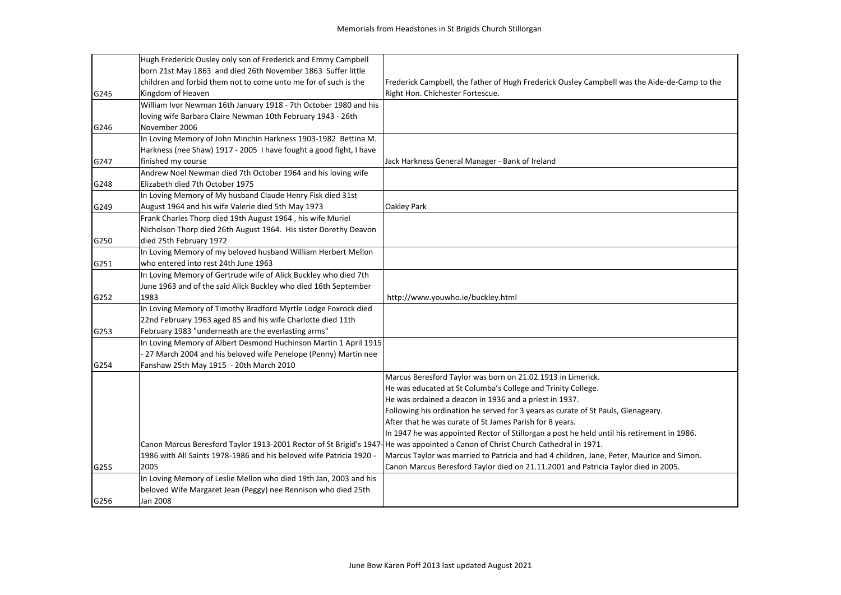|      | Hugh Frederick Ousley only son of Frederick and Emmy Campbell                                                                   |                                                                                              |
|------|---------------------------------------------------------------------------------------------------------------------------------|----------------------------------------------------------------------------------------------|
|      | born 21st May 1863 and died 26th November 1863 Suffer little                                                                    |                                                                                              |
|      | children and forbid them not to come unto me for of such is the                                                                 | Frederick Campbell, the father of Hugh Frederick Ousley Campbell was the Aide-de-Camp to the |
| G245 | Kingdom of Heaven                                                                                                               | Right Hon. Chichester Fortescue.                                                             |
|      | William Ivor Newman 16th January 1918 - 7th October 1980 and his                                                                |                                                                                              |
|      | loving wife Barbara Claire Newman 10th February 1943 - 26th                                                                     |                                                                                              |
| G246 | November 2006                                                                                                                   |                                                                                              |
|      | In Loving Memory of John Minchin Harkness 1903-1982 Bettina M.                                                                  |                                                                                              |
|      | Harkness (nee Shaw) 1917 - 2005 I have fought a good fight, I have                                                              |                                                                                              |
| G247 | finished my course                                                                                                              | Jack Harkness General Manager - Bank of Ireland                                              |
|      | Andrew Noel Newman died 7th October 1964 and his loving wife                                                                    |                                                                                              |
| G248 | Elizabeth died 7th October 1975                                                                                                 |                                                                                              |
|      | In Loving Memory of My husband Claude Henry Fisk died 31st                                                                      |                                                                                              |
| G249 | August 1964 and his wife Valerie died 5th May 1973                                                                              | Oakley Park                                                                                  |
|      | Frank Charles Thorp died 19th August 1964, his wife Muriel                                                                      |                                                                                              |
|      | Nicholson Thorp died 26th August 1964. His sister Dorethy Deavon                                                                |                                                                                              |
| G250 | died 25th February 1972                                                                                                         |                                                                                              |
|      | In Loving Memory of my beloved husband William Herbert Mellon                                                                   |                                                                                              |
| G251 | who entered into rest 24th June 1963                                                                                            |                                                                                              |
|      | In Loving Memory of Gertrude wife of Alick Buckley who died 7th                                                                 |                                                                                              |
|      | June 1963 and of the said Alick Buckley who died 16th September                                                                 |                                                                                              |
| G252 | 1983                                                                                                                            | http://www.youwho.ie/buckley.html                                                            |
|      | In Loving Memory of Timothy Bradford Myrtle Lodge Foxrock died                                                                  |                                                                                              |
|      | 22nd February 1963 aged 85 and his wife Charlotte died 11th                                                                     |                                                                                              |
| G253 | February 1983 "underneath are the everlasting arms"                                                                             |                                                                                              |
|      | In Loving Memory of Albert Desmond Huchinson Martin 1 April 1915                                                                |                                                                                              |
|      | - 27 March 2004 and his beloved wife Penelope (Penny) Martin nee                                                                |                                                                                              |
| G254 | Fanshaw 25th May 1915 - 20th March 2010                                                                                         |                                                                                              |
|      |                                                                                                                                 | Marcus Beresford Taylor was born on 21.02.1913 in Limerick.                                  |
|      |                                                                                                                                 | He was educated at St Columba's College and Trinity College.                                 |
|      |                                                                                                                                 | He was ordained a deacon in 1936 and a priest in 1937.                                       |
|      |                                                                                                                                 | Following his ordination he served for 3 years as curate of St Pauls, Glenageary.            |
|      |                                                                                                                                 | After that he was curate of St James Parish for 8 years.                                     |
|      |                                                                                                                                 | In 1947 he was appointed Rector of Stillorgan a post he held until his retirement in 1986.   |
|      | Canon Marcus Beresford Taylor 1913-2001 Rector of St Brigid's 1947-He was appointed a Canon of Christ Church Cathedral in 1971. |                                                                                              |
|      | 1986 with All Saints 1978-1986 and his beloved wife Patricia 1920 -                                                             | Marcus Taylor was married to Patricia and had 4 children, Jane, Peter, Maurice and Simon.    |
| G255 | 2005                                                                                                                            | Canon Marcus Beresford Taylor died on 21.11.2001 and Patricia Taylor died in 2005.           |
|      | In Loving Memory of Leslie Mellon who died 19th Jan, 2003 and his                                                               |                                                                                              |
|      | beloved Wife Margaret Jean (Peggy) nee Rennison who died 25th                                                                   |                                                                                              |
| G256 | Jan 2008                                                                                                                        |                                                                                              |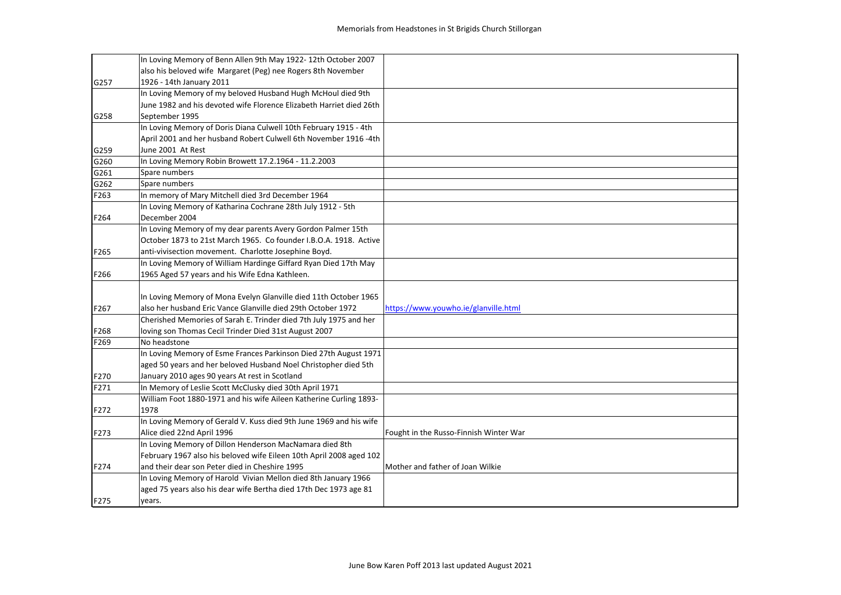|      | In Loving Memory of Benn Allen 9th May 1922-12th October 2007       |                                        |
|------|---------------------------------------------------------------------|----------------------------------------|
|      | also his beloved wife Margaret (Peg) nee Rogers 8th November        |                                        |
| G257 | 1926 - 14th January 2011                                            |                                        |
|      | In Loving Memory of my beloved Husband Hugh McHoul died 9th         |                                        |
|      | June 1982 and his devoted wife Florence Elizabeth Harriet died 26th |                                        |
| G258 | September 1995                                                      |                                        |
|      | In Loving Memory of Doris Diana Culwell 10th February 1915 - 4th    |                                        |
|      | April 2001 and her husband Robert Culwell 6th November 1916 -4th    |                                        |
| G259 | June 2001 At Rest                                                   |                                        |
| G260 | In Loving Memory Robin Browett 17.2.1964 - 11.2.2003                |                                        |
| G261 | Spare numbers                                                       |                                        |
| G262 | Spare numbers                                                       |                                        |
| F263 | In memory of Mary Mitchell died 3rd December 1964                   |                                        |
|      | In Loving Memory of Katharina Cochrane 28th July 1912 - 5th         |                                        |
| F264 | December 2004                                                       |                                        |
|      | In Loving Memory of my dear parents Avery Gordon Palmer 15th        |                                        |
|      | October 1873 to 21st March 1965. Co founder I.B.O.A. 1918. Active   |                                        |
| F265 | anti-vivisection movement. Charlotte Josephine Boyd.                |                                        |
|      | In Loving Memory of William Hardinge Giffard Ryan Died 17th May     |                                        |
| F266 | 1965 Aged 57 years and his Wife Edna Kathleen.                      |                                        |
|      |                                                                     |                                        |
|      | In Loving Memory of Mona Evelyn Glanville died 11th October 1965    |                                        |
| F267 | also her husband Eric Vance Glanville died 29th October 1972        | https://www.youwho.ie/glanville.html   |
|      | Cherished Memories of Sarah E. Trinder died 7th July 1975 and her   |                                        |
| F268 | loving son Thomas Cecil Trinder Died 31st August 2007               |                                        |
| F269 | No headstone                                                        |                                        |
|      | In Loving Memory of Esme Frances Parkinson Died 27th August 1971    |                                        |
|      | aged 50 years and her beloved Husband Noel Christopher died 5th     |                                        |
| F270 | January 2010 ages 90 years At rest in Scotland                      |                                        |
| F271 | In Memory of Leslie Scott McClusky died 30th April 1971             |                                        |
|      | William Foot 1880-1971 and his wife Aileen Katherine Curling 1893-  |                                        |
| F272 | 1978                                                                |                                        |
|      | In Loving Memory of Gerald V. Kuss died 9th June 1969 and his wife  |                                        |
| F273 | Alice died 22nd April 1996                                          | Fought in the Russo-Finnish Winter War |
|      | In Loving Memory of Dillon Henderson MacNamara died 8th             |                                        |
|      | February 1967 also his beloved wife Eileen 10th April 2008 aged 102 |                                        |
| F274 | and their dear son Peter died in Cheshire 1995                      | Mother and father of Joan Wilkie       |
|      | In Loving Memory of Harold Vivian Mellon died 8th January 1966      |                                        |
|      | aged 75 years also his dear wife Bertha died 17th Dec 1973 age 81   |                                        |
| F275 | years.                                                              |                                        |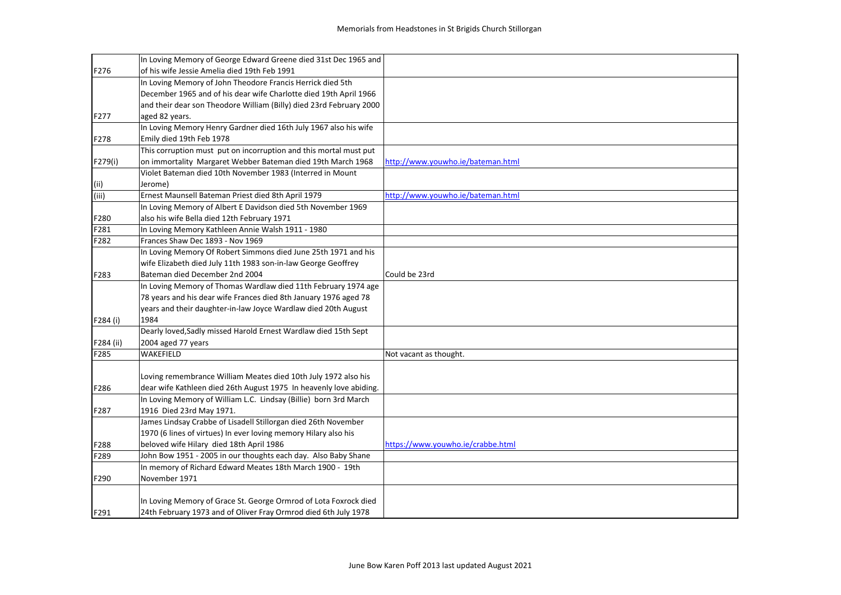|           | In Loving Memory of George Edward Greene died 31st Dec 1965 and     |                                   |
|-----------|---------------------------------------------------------------------|-----------------------------------|
| F276      | of his wife Jessie Amelia died 19th Feb 1991                        |                                   |
|           | In Loving Memory of John Theodore Francis Herrick died 5th          |                                   |
|           | December 1965 and of his dear wife Charlotte died 19th April 1966   |                                   |
|           | and their dear son Theodore William (Billy) died 23rd February 2000 |                                   |
| F277      | aged 82 years.                                                      |                                   |
|           | In Loving Memory Henry Gardner died 16th July 1967 also his wife    |                                   |
| F278      | Emily died 19th Feb 1978                                            |                                   |
|           | This corruption must put on incorruption and this mortal must put   |                                   |
| F279(i)   | on immortality Margaret Webber Bateman died 19th March 1968         | http://www.youwho.ie/bateman.html |
|           | Violet Bateman died 10th November 1983 (Interred in Mount           |                                   |
| (iii)     | Jerome)                                                             |                                   |
| (iii)     | Ernest Maunsell Bateman Priest died 8th April 1979                  | http://www.youwho.ie/bateman.html |
|           | In Loving Memory of Albert E Davidson died 5th November 1969        |                                   |
| F280      | also his wife Bella died 12th February 1971                         |                                   |
| F281      | In Loving Memory Kathleen Annie Walsh 1911 - 1980                   |                                   |
| F282      | Frances Shaw Dec 1893 - Nov 1969                                    |                                   |
|           | In Loving Memory Of Robert Simmons died June 25th 1971 and his      |                                   |
|           | wife Elizabeth died July 11th 1983 son-in-law George Geoffrey       |                                   |
| F283      | Bateman died December 2nd 2004                                      | Could be 23rd                     |
|           | In Loving Memory of Thomas Wardlaw died 11th February 1974 age      |                                   |
|           | 78 years and his dear wife Frances died 8th January 1976 aged 78    |                                   |
|           | years and their daughter-in-law Joyce Wardlaw died 20th August      |                                   |
| F284 (i)  | 1984                                                                |                                   |
|           | Dearly loved, Sadly missed Harold Ernest Wardlaw died 15th Sept     |                                   |
| F284 (ii) | 2004 aged 77 years                                                  |                                   |
| F285      | <b>WAKEFIELD</b>                                                    | Not vacant as thought.            |
|           |                                                                     |                                   |
|           | Loving remembrance William Meates died 10th July 1972 also his      |                                   |
| F286      | dear wife Kathleen died 26th August 1975 In heavenly love abiding.  |                                   |
|           | In Loving Memory of William L.C. Lindsay (Billie) born 3rd March    |                                   |
| F287      | 1916 Died 23rd May 1971.                                            |                                   |
|           | James Lindsay Crabbe of Lisadell Stillorgan died 26th November      |                                   |
|           | 1970 (6 lines of virtues) In ever loving memory Hilary also his     |                                   |
| F288      | beloved wife Hilary died 18th April 1986                            | https://www.youwho.ie/crabbe.html |
| F289      | John Bow 1951 - 2005 in our thoughts each day. Also Baby Shane      |                                   |
|           | In memory of Richard Edward Meates 18th March 1900 - 19th           |                                   |
| F290      | November 1971                                                       |                                   |
|           |                                                                     |                                   |
|           | In Loving Memory of Grace St. George Ormrod of Lota Foxrock died    |                                   |
| F291      | 24th February 1973 and of Oliver Fray Ormrod died 6th July 1978     |                                   |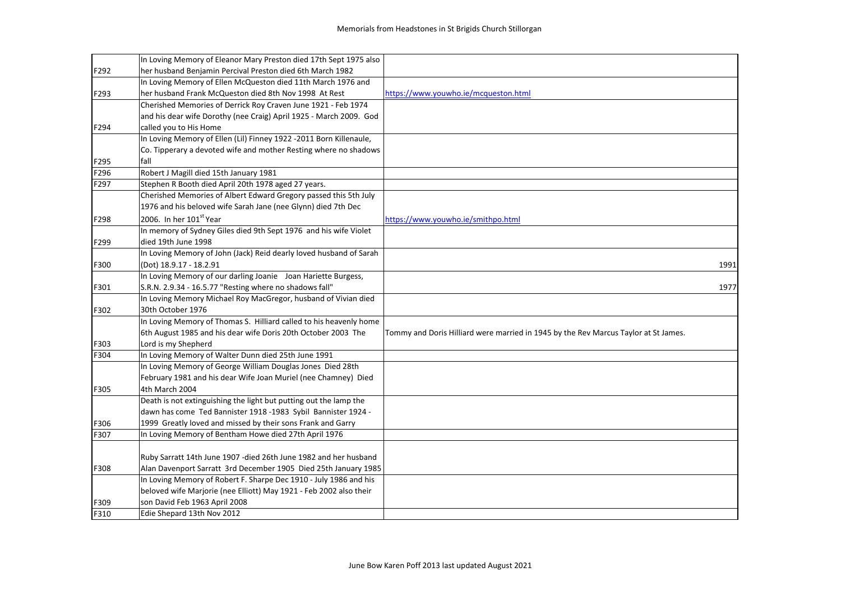|              | In Loving Memory of Eleanor Mary Preston died 17th Sept 1975 also  |                                                                                     |      |
|--------------|--------------------------------------------------------------------|-------------------------------------------------------------------------------------|------|
| F292         | her husband Benjamin Percival Preston died 6th March 1982          |                                                                                     |      |
|              | In Loving Memory of Ellen McQueston died 11th March 1976 and       |                                                                                     |      |
| F293         | her husband Frank McQueston died 8th Nov 1998 At Rest              | https://www.youwho.ie/mcqueston.html                                                |      |
|              | Cherished Memories of Derrick Roy Craven June 1921 - Feb 1974      |                                                                                     |      |
|              | and his dear wife Dorothy (nee Craig) April 1925 - March 2009. God |                                                                                     |      |
| F294         | called you to His Home                                             |                                                                                     |      |
|              | In Loving Memory of Ellen (Lil) Finney 1922 -2011 Born Killenaule, |                                                                                     |      |
|              | Co. Tipperary a devoted wife and mother Resting where no shadows   |                                                                                     |      |
|              | fall                                                               |                                                                                     |      |
| F295<br>F296 |                                                                    |                                                                                     |      |
|              | Robert J Magill died 15th January 1981                             |                                                                                     |      |
| F297         | Stephen R Booth died April 20th 1978 aged 27 years.                |                                                                                     |      |
|              | Cherished Memories of Albert Edward Gregory passed this 5th July   |                                                                                     |      |
|              | 1976 and his beloved wife Sarah Jane (nee Glynn) died 7th Dec      |                                                                                     |      |
| F298         | 2006. In her 101st Year                                            | https://www.youwho.ie/smithpo.html                                                  |      |
|              | In memory of Sydney Giles died 9th Sept 1976 and his wife Violet   |                                                                                     |      |
| F299         | died 19th June 1998                                                |                                                                                     |      |
|              | In Loving Memory of John (Jack) Reid dearly loved husband of Sarah |                                                                                     |      |
| F300         | (Dot) 18.9.17 - 18.2.91                                            |                                                                                     | 1991 |
|              | In Loving Memory of our darling Joanie Joan Hariette Burgess,      |                                                                                     |      |
| F301         | S.R.N. 2.9.34 - 16.5.77 "Resting where no shadows fall"            |                                                                                     | 1977 |
|              | In Loving Memory Michael Roy MacGregor, husband of Vivian died     |                                                                                     |      |
| F302         | 30th October 1976                                                  |                                                                                     |      |
|              | In Loving Memory of Thomas S. Hilliard called to his heavenly home |                                                                                     |      |
|              | 6th August 1985 and his dear wife Doris 20th October 2003 The      | Tommy and Doris Hilliard were married in 1945 by the Rev Marcus Taylor at St James. |      |
| F303         | Lord is my Shepherd                                                |                                                                                     |      |
| F304         | In Loving Memory of Walter Dunn died 25th June 1991                |                                                                                     |      |
|              | In Loving Memory of George William Douglas Jones Died 28th         |                                                                                     |      |
|              | February 1981 and his dear Wife Joan Muriel (nee Chamney) Died     |                                                                                     |      |
| F305         | 4th March 2004                                                     |                                                                                     |      |
|              | Death is not extinguishing the light but putting out the lamp the  |                                                                                     |      |
|              | dawn has come Ted Bannister 1918 -1983 Sybil Bannister 1924 -      |                                                                                     |      |
| F306         | 1999 Greatly loved and missed by their sons Frank and Garry        |                                                                                     |      |
| F307         | In Loving Memory of Bentham Howe died 27th April 1976              |                                                                                     |      |
|              |                                                                    |                                                                                     |      |
|              | Ruby Sarratt 14th June 1907 - died 26th June 1982 and her husband  |                                                                                     |      |
| F308         | Alan Davenport Sarratt 3rd December 1905 Died 25th January 1985    |                                                                                     |      |
|              | In Loving Memory of Robert F. Sharpe Dec 1910 - July 1986 and his  |                                                                                     |      |
|              | beloved wife Marjorie (nee Elliott) May 1921 - Feb 2002 also their |                                                                                     |      |
| F309         | son David Feb 1963 April 2008                                      |                                                                                     |      |
| F310         | Edie Shepard 13th Nov 2012                                         |                                                                                     |      |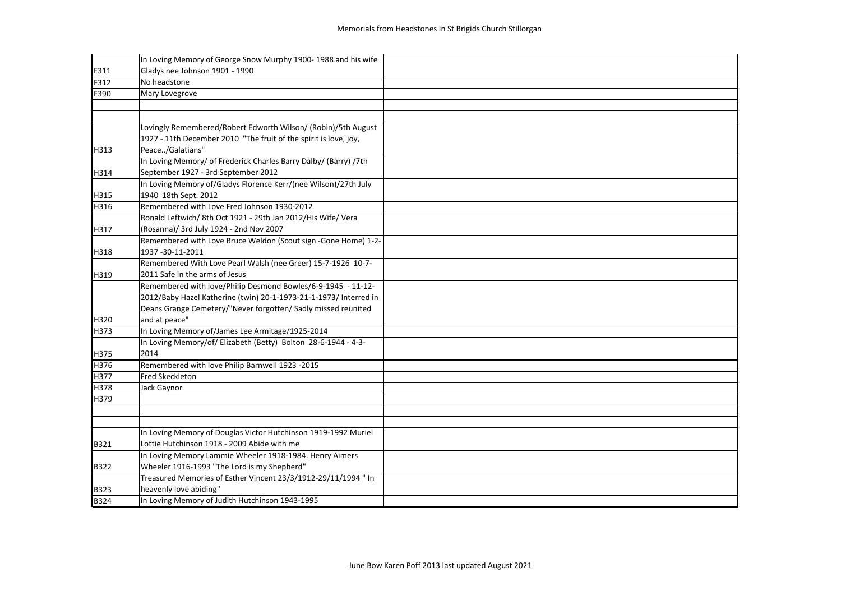|             | In Loving Memory of George Snow Murphy 1900-1988 and his wife     |  |
|-------------|-------------------------------------------------------------------|--|
| F311        | Gladys nee Johnson 1901 - 1990                                    |  |
| F312        | No headstone                                                      |  |
| F390        | Mary Lovegrove                                                    |  |
|             |                                                                   |  |
|             |                                                                   |  |
|             | Lovingly Remembered/Robert Edworth Wilson/ (Robin)/5th August     |  |
|             | 1927 - 11th December 2010 "The fruit of the spirit is love, joy,  |  |
| H313        | Peace/Galatians"                                                  |  |
|             | In Loving Memory/ of Frederick Charles Barry Dalby/ (Barry) /7th  |  |
| H314        | September 1927 - 3rd September 2012                               |  |
|             | In Loving Memory of/Gladys Florence Kerr/(nee Wilson)/27th July   |  |
| H315        | 1940 18th Sept. 2012                                              |  |
| H316        | Remembered with Love Fred Johnson 1930-2012                       |  |
|             | Ronald Leftwich/ 8th Oct 1921 - 29th Jan 2012/His Wife/ Vera      |  |
| H317        | (Rosanna)/ 3rd July 1924 - 2nd Nov 2007                           |  |
|             | Remembered with Love Bruce Weldon (Scout sign -Gone Home) 1-2-    |  |
| H318        | 1937-30-11-2011                                                   |  |
|             | Remembered With Love Pearl Walsh (nee Greer) 15-7-1926 10-7-      |  |
| H319        | 2011 Safe in the arms of Jesus                                    |  |
|             | Remembered with love/Philip Desmond Bowles/6-9-1945 - 11-12-      |  |
|             | 2012/Baby Hazel Katherine (twin) 20-1-1973-21-1-1973/ Interred in |  |
|             | Deans Grange Cemetery/"Never forgotten/ Sadly missed reunited     |  |
| H320        | and at peace"                                                     |  |
| H373        | In Loving Memory of/James Lee Armitage/1925-2014                  |  |
|             | In Loving Memory/of/ Elizabeth (Betty) Bolton 28-6-1944 - 4-3-    |  |
| H375        | 2014                                                              |  |
| H376        | Remembered with love Philip Barnwell 1923 -2015                   |  |
| H377        | <b>Fred Skeckleton</b>                                            |  |
| H378        | Jack Gaynor                                                       |  |
| H379        |                                                                   |  |
|             |                                                                   |  |
|             |                                                                   |  |
|             | In Loving Memory of Douglas Victor Hutchinson 1919-1992 Muriel    |  |
| B321        | Lottie Hutchinson 1918 - 2009 Abide with me                       |  |
|             | In Loving Memory Lammie Wheeler 1918-1984. Henry Aimers           |  |
| <b>B322</b> | Wheeler 1916-1993 "The Lord is my Shepherd"                       |  |
|             | Treasured Memories of Esther Vincent 23/3/1912-29/11/1994 " In    |  |
| <b>B323</b> | heavenly love abiding"                                            |  |
| B324        | In Loving Memory of Judith Hutchinson 1943-1995                   |  |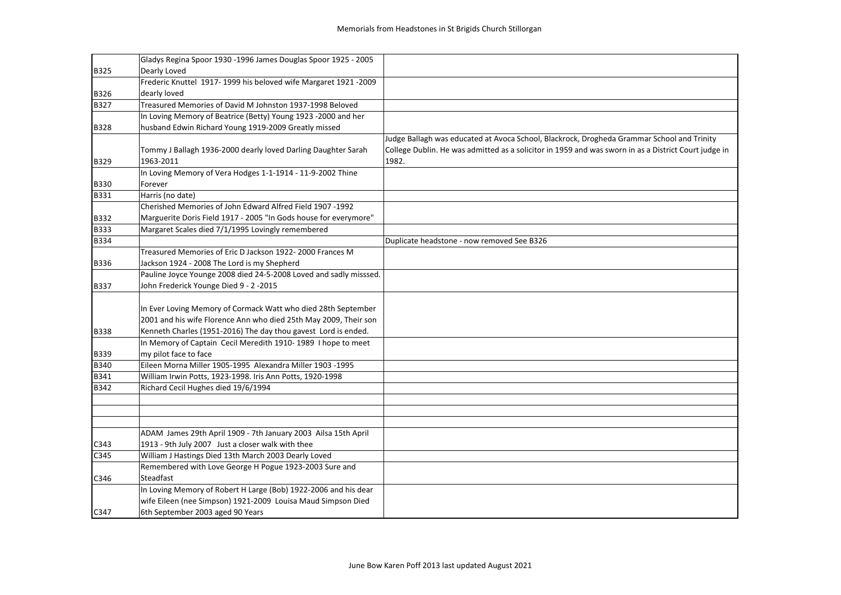|             | Gladys Regina Spoor 1930 -1996 James Douglas Spoor 1925 - 2005    |                                                                                                      |
|-------------|-------------------------------------------------------------------|------------------------------------------------------------------------------------------------------|
| B325        | Dearly Loved                                                      |                                                                                                      |
|             | Frederic Knuttel 1917-1999 his beloved wife Margaret 1921-2009    |                                                                                                      |
| B326        | dearly loved                                                      |                                                                                                      |
| B327        | Treasured Memories of David M Johnston 1937-1998 Beloved          |                                                                                                      |
|             | In Loving Memory of Beatrice (Betty) Young 1923 -2000 and her     |                                                                                                      |
| <b>B328</b> | husband Edwin Richard Young 1919-2009 Greatly missed              |                                                                                                      |
|             |                                                                   | Judge Ballagh was educated at Avoca School, Blackrock, Drogheda Grammar School and Trinity           |
|             | Tommy J Ballagh 1936-2000 dearly loved Darling Daughter Sarah     | College Dublin. He was admitted as a solicitor in 1959 and was sworn in as a District Court judge in |
| B329        | 1963-2011                                                         | 1982.                                                                                                |
|             | In Loving Memory of Vera Hodges 1-1-1914 - 11-9-2002 Thine        |                                                                                                      |
| <b>B330</b> | Forever                                                           |                                                                                                      |
| B331        | Harris (no date)                                                  |                                                                                                      |
|             | Cherished Memories of John Edward Alfred Field 1907 -1992         |                                                                                                      |
| B332        | Marguerite Doris Field 1917 - 2005 "In Gods house for everymore"  |                                                                                                      |
| <b>B333</b> | Margaret Scales died 7/1/1995 Lovingly remembered                 |                                                                                                      |
| <b>B334</b> |                                                                   | Duplicate headstone - now removed See B326                                                           |
|             | Treasured Memories of Eric D Jackson 1922-2000 Frances M          |                                                                                                      |
| <b>B336</b> | Jackson 1924 - 2008 The Lord is my Shepherd                       |                                                                                                      |
|             | Pauline Joyce Younge 2008 died 24-5-2008 Loved and sadly misssed. |                                                                                                      |
| <b>B337</b> | John Frederick Younge Died 9 - 2 -2015                            |                                                                                                      |
|             |                                                                   |                                                                                                      |
|             | In Ever Loving Memory of Cormack Watt who died 28th September     |                                                                                                      |
|             | 2001 and his wife Florence Ann who died 25th May 2009, Their son  |                                                                                                      |
| <b>B338</b> | Kenneth Charles (1951-2016) The day thou gavest Lord is ended.    |                                                                                                      |
|             | In Memory of Captain Cecil Meredith 1910-1989 I hope to meet      |                                                                                                      |
| B339        | my pilot face to face                                             |                                                                                                      |
| B340        | Eileen Morna Miller 1905-1995 Alexandra Miller 1903 -1995         |                                                                                                      |
| B341        | William Irwin Potts, 1923-1998. Iris Ann Potts, 1920-1998         |                                                                                                      |
| <b>B342</b> | Richard Cecil Hughes died 19/6/1994                               |                                                                                                      |
|             |                                                                   |                                                                                                      |
|             |                                                                   |                                                                                                      |
|             |                                                                   |                                                                                                      |
|             | ADAM James 29th April 1909 - 7th January 2003 Ailsa 15th April    |                                                                                                      |
| C343        | 1913 - 9th July 2007 Just a closer walk with thee                 |                                                                                                      |
| C345        | William J Hastings Died 13th March 2003 Dearly Loved              |                                                                                                      |
|             | Remembered with Love George H Pogue 1923-2003 Sure and            |                                                                                                      |
| C346        | Steadfast                                                         |                                                                                                      |
|             | In Loving Memory of Robert H Large (Bob) 1922-2006 and his dear   |                                                                                                      |
|             | wife Eileen (nee Simpson) 1921-2009 Louisa Maud Simpson Died      |                                                                                                      |
| C347        | 6th September 2003 aged 90 Years                                  |                                                                                                      |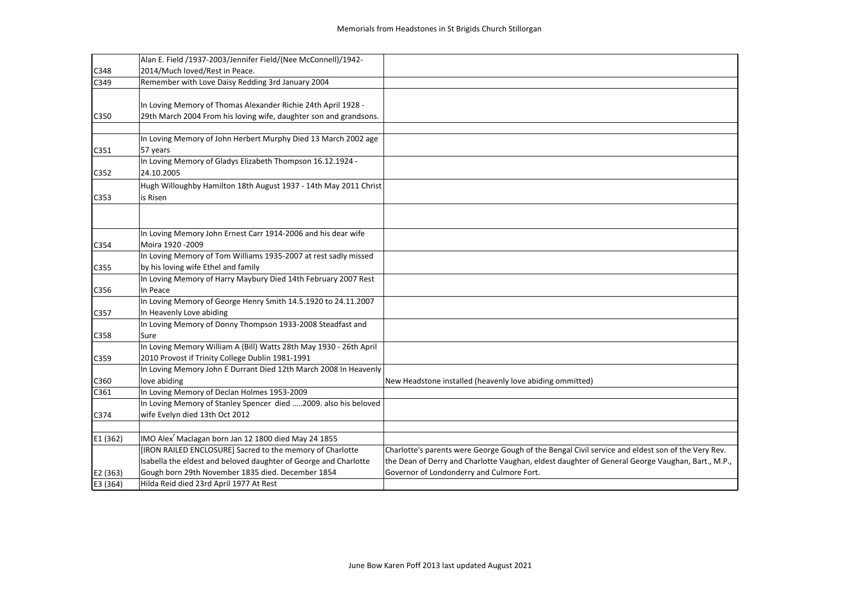|          | Alan E. Field /1937-2003/Jennifer Field/(Nee McConnell)/1942-      |                                                                                                   |
|----------|--------------------------------------------------------------------|---------------------------------------------------------------------------------------------------|
| C348     | 2014/Much loved/Rest in Peace.                                     |                                                                                                   |
| C349     | Remember with Love Daisy Redding 3rd January 2004                  |                                                                                                   |
|          |                                                                    |                                                                                                   |
|          | In Loving Memory of Thomas Alexander Richie 24th April 1928 -      |                                                                                                   |
| C350     | 29th March 2004 From his loving wife, daughter son and grandsons.  |                                                                                                   |
|          |                                                                    |                                                                                                   |
|          | In Loving Memory of John Herbert Murphy Died 13 March 2002 age     |                                                                                                   |
| C351     | 57 years                                                           |                                                                                                   |
|          | In Loving Memory of Gladys Elizabeth Thompson 16.12.1924 -         |                                                                                                   |
| C352     | 24.10.2005                                                         |                                                                                                   |
|          | Hugh Willoughby Hamilton 18th August 1937 - 14th May 2011 Christ   |                                                                                                   |
| C353     | is Risen                                                           |                                                                                                   |
|          |                                                                    |                                                                                                   |
|          |                                                                    |                                                                                                   |
|          | In Loving Memory John Ernest Carr 1914-2006 and his dear wife      |                                                                                                   |
| C354     | Moira 1920 - 2009                                                  |                                                                                                   |
|          | In Loving Memory of Tom Williams 1935-2007 at rest sadly missed    |                                                                                                   |
| C355     | by his loving wife Ethel and family                                |                                                                                                   |
|          | In Loving Memory of Harry Maybury Died 14th February 2007 Rest     |                                                                                                   |
| C356     | In Peace                                                           |                                                                                                   |
|          | In Loving Memory of George Henry Smith 14.5.1920 to 24.11.2007     |                                                                                                   |
| C357     | In Heavenly Love abiding                                           |                                                                                                   |
|          | In Loving Memory of Donny Thompson 1933-2008 Steadfast and         |                                                                                                   |
| C358     | Sure                                                               |                                                                                                   |
|          | In Loving Memory William A (Bill) Watts 28th May 1930 - 26th April |                                                                                                   |
| C359     | 2010 Provost if Trinity College Dublin 1981-1991                   |                                                                                                   |
|          | In Loving Memory John E Durrant Died 12th March 2008 In Heavenly   |                                                                                                   |
| C360     | love abiding                                                       | New Headstone installed (heavenly love abiding ommitted)                                          |
| C361     | In Loving Memory of Declan Holmes 1953-2009                        |                                                                                                   |
|          | In Loving Memory of Stanley Spencer died 2009. also his beloved    |                                                                                                   |
| C374     | wife Evelyn died 13th Oct 2012                                     |                                                                                                   |
|          |                                                                    |                                                                                                   |
| E1 (362) | IMO Alex <sup>r</sup> Maclagan born Jan 12 1800 died May 24 1855   |                                                                                                   |
|          | [IRON RAILED ENCLOSURE] Sacred to the memory of Charlotte          | Charlotte's parents were George Gough of the Bengal Civil service and eldest son of the Very Rev. |
|          | Isabella the eldest and beloved daughter of George and Charlotte   | the Dean of Derry and Charlotte Vaughan, eldest daughter of General George Vaughan, Bart., M.P.,  |
| E2 (363) | Gough born 29th November 1835 died. December 1854                  | Governor of Londonderry and Culmore Fort.                                                         |
| E3 (364) | Hilda Reid died 23rd April 1977 At Rest                            |                                                                                                   |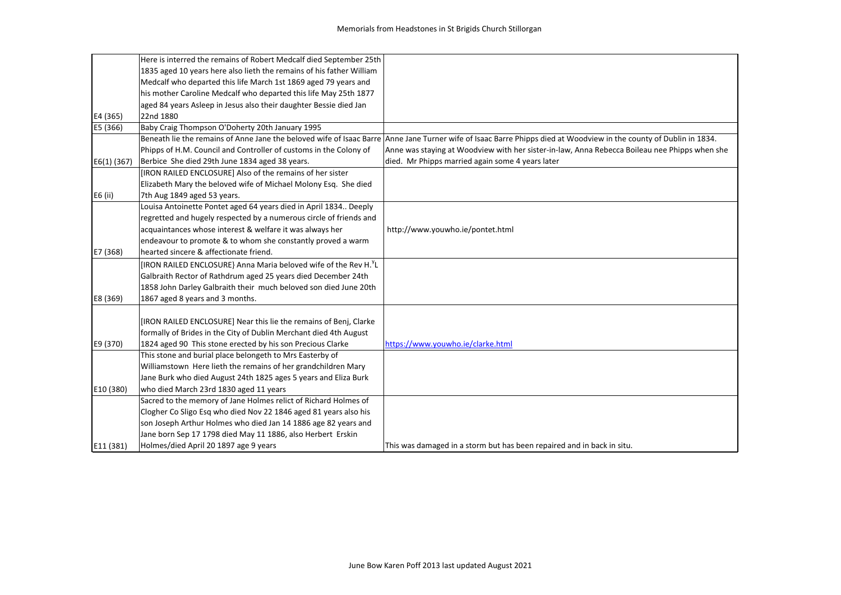|               | Here is interred the remains of Robert Medcalf died September 25th           |                                                                                                                                                                    |
|---------------|------------------------------------------------------------------------------|--------------------------------------------------------------------------------------------------------------------------------------------------------------------|
|               | 1835 aged 10 years here also lieth the remains of his father William         |                                                                                                                                                                    |
|               | Medcalf who departed this life March 1st 1869 aged 79 years and              |                                                                                                                                                                    |
|               | his mother Caroline Medcalf who departed this life May 25th 1877             |                                                                                                                                                                    |
|               | aged 84 years Asleep in Jesus also their daughter Bessie died Jan            |                                                                                                                                                                    |
| E4 (365)      | 22nd 1880                                                                    |                                                                                                                                                                    |
| E5 (366)      | Baby Craig Thompson O'Doherty 20th January 1995                              |                                                                                                                                                                    |
|               |                                                                              | Beneath lie the remains of Anne Jane the beloved wife of Isaac Barre Anne Jane Turner wife of Isaac Barre Phipps died at Woodview in the county of Dublin in 1834. |
|               | Phipps of H.M. Council and Controller of customs in the Colony of            | Anne was staying at Woodview with her sister-in-law, Anna Rebecca Boileau nee Phipps when she                                                                      |
| $E6(1)$ (367) | Berbice She died 29th June 1834 aged 38 years.                               | died. Mr Phipps married again some 4 years later                                                                                                                   |
|               | [IRON RAILED ENCLOSURE] Also of the remains of her sister                    |                                                                                                                                                                    |
|               | Elizabeth Mary the beloved wife of Michael Molony Esq. She died              |                                                                                                                                                                    |
| E6 (ii)       | 7th Aug 1849 aged 53 years.                                                  |                                                                                                                                                                    |
|               | Louisa Antoinette Pontet aged 64 years died in April 1834 Deeply             |                                                                                                                                                                    |
|               | regretted and hugely respected by a numerous circle of friends and           |                                                                                                                                                                    |
|               | acquaintances whose interest & welfare it was always her                     | http://www.youwho.ie/pontet.html                                                                                                                                   |
|               | endeavour to promote & to whom she constantly proved a warm                  |                                                                                                                                                                    |
| E7 (368)      | hearted sincere & affectionate friend.                                       |                                                                                                                                                                    |
|               | [IRON RAILED ENCLOSURE} Anna Maria beloved wife of the Rev H. <sup>Y</sup> L |                                                                                                                                                                    |
|               | Galbraith Rector of Rathdrum aged 25 years died December 24th                |                                                                                                                                                                    |
|               | 1858 John Darley Galbraith their much beloved son died June 20th             |                                                                                                                                                                    |
| E8 (369)      | 1867 aged 8 years and 3 months.                                              |                                                                                                                                                                    |
|               |                                                                              |                                                                                                                                                                    |
|               | [IRON RAILED ENCLOSURE] Near this lie the remains of Benj, Clarke            |                                                                                                                                                                    |
|               | formally of Brides in the City of Dublin Merchant died 4th August            |                                                                                                                                                                    |
| E9 (370)      | 1824 aged 90 This stone erected by his son Precious Clarke                   | https://www.youwho.ie/clarke.html                                                                                                                                  |
|               | This stone and burial place belongeth to Mrs Easterby of                     |                                                                                                                                                                    |
|               | Williamstown Here lieth the remains of her grandchildren Mary                |                                                                                                                                                                    |
|               | Jane Burk who died August 24th 1825 ages 5 years and Eliza Burk              |                                                                                                                                                                    |
| E10 (380)     | who died March 23rd 1830 aged 11 years                                       |                                                                                                                                                                    |
|               | Sacred to the memory of Jane Holmes relict of Richard Holmes of              |                                                                                                                                                                    |
|               | Clogher Co Sligo Esq who died Nov 22 1846 aged 81 years also his             |                                                                                                                                                                    |
|               | son Joseph Arthur Holmes who died Jan 14 1886 age 82 years and               |                                                                                                                                                                    |
|               | Jane born Sep 17 1798 died May 11 1886, also Herbert Erskin                  |                                                                                                                                                                    |
| E11 (381)     | Holmes/died April 20 1897 age 9 years                                        | This was damaged in a storm but has been repaired and in back in situ.                                                                                             |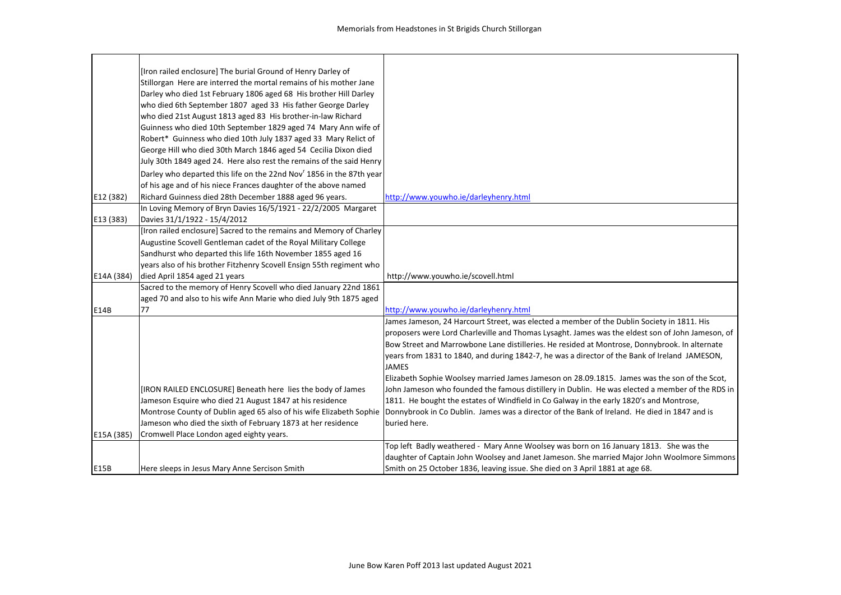|            | [Iron railed enclosure] The burial Ground of Henry Darley of                     |                                                                                                  |
|------------|----------------------------------------------------------------------------------|--------------------------------------------------------------------------------------------------|
|            | Stillorgan Here are interred the mortal remains of his mother Jane               |                                                                                                  |
|            | Darley who died 1st February 1806 aged 68 His brother Hill Darley                |                                                                                                  |
|            | who died 6th September 1807 aged 33 His father George Darley                     |                                                                                                  |
|            | who died 21st August 1813 aged 83 His brother-in-law Richard                     |                                                                                                  |
|            | Guinness who died 10th September 1829 aged 74 Mary Ann wife of                   |                                                                                                  |
|            | Robert* Guinness who died 10th July 1837 aged 33 Mary Relict of                  |                                                                                                  |
|            | George Hill who died 30th March 1846 aged 54 Cecilia Dixon died                  |                                                                                                  |
|            | July 30th 1849 aged 24. Here also rest the remains of the said Henry             |                                                                                                  |
|            | Darley who departed this life on the 22nd Nov <sup>r</sup> 1856 in the 87th year |                                                                                                  |
|            | of his age and of his niece Frances daughter of the above named                  |                                                                                                  |
| E12 (382)  | Richard Guinness died 28th December 1888 aged 96 years.                          | http://www.youwho.ie/darleyhenry.html                                                            |
|            | In Loving Memory of Bryn Davies 16/5/1921 - 22/2/2005 Margaret                   |                                                                                                  |
| E13 (383)  | Davies 31/1/1922 - 15/4/2012                                                     |                                                                                                  |
|            | [Iron railed enclosure] Sacred to the remains and Memory of Charley              |                                                                                                  |
|            | Augustine Scovell Gentleman cadet of the Royal Military College                  |                                                                                                  |
|            | Sandhurst who departed this life 16th November 1855 aged 16                      |                                                                                                  |
|            | years also of his brother Fitzhenry Scovell Ensign 55th regiment who             |                                                                                                  |
| E14A (384) | died April 1854 aged 21 years                                                    | http://www.youwho.ie/scovell.html                                                                |
|            | Sacred to the memory of Henry Scovell who died January 22nd 1861                 |                                                                                                  |
|            | aged 70 and also to his wife Ann Marie who died July 9th 1875 aged               |                                                                                                  |
| E14B       | 77                                                                               | http://www.youwho.ie/darleyhenry.html                                                            |
|            |                                                                                  | James Jameson, 24 Harcourt Street, was elected a member of the Dublin Society in 1811. His       |
|            |                                                                                  | proposers were Lord Charleville and Thomas Lysaght. James was the eldest son of John Jameson, of |
|            |                                                                                  | Bow Street and Marrowbone Lane distilleries. He resided at Montrose, Donnybrook. In alternate    |
|            |                                                                                  | years from 1831 to 1840, and during 1842-7, he was a director of the Bank of Ireland JAMESON,    |
|            |                                                                                  | <b>JAMES</b>                                                                                     |
|            |                                                                                  | Elizabeth Sophie Woolsey married James Jameson on 28.09.1815. James was the son of the Scot,     |
|            | [IRON RAILED ENCLOSURE] Beneath here lies the body of James                      | John Jameson who founded the famous distillery in Dublin. He was elected a member of the RDS in  |
|            | Jameson Esquire who died 21 August 1847 at his residence                         | 1811. He bought the estates of Windfield in Co Galway in the early 1820's and Montrose,          |
|            | Montrose County of Dublin aged 65 also of his wife Elizabeth Sophie              | Donnybrook in Co Dublin. James was a director of the Bank of Ireland. He died in 1847 and is     |
|            | Jameson who died the sixth of February 1873 at her residence                     | buried here.                                                                                     |
| E15A (385) | Cromwell Place London aged eighty years.                                         |                                                                                                  |
|            |                                                                                  | Top left Badly weathered - Mary Anne Woolsey was born on 16 January 1813. She was the            |
|            |                                                                                  | daughter of Captain John Woolsey and Janet Jameson. She married Major John Woolmore Simmons      |
| E15B       | Here sleeps in Jesus Mary Anne Sercison Smith                                    | Smith on 25 October 1836, leaving issue. She died on 3 April 1881 at age 68.                     |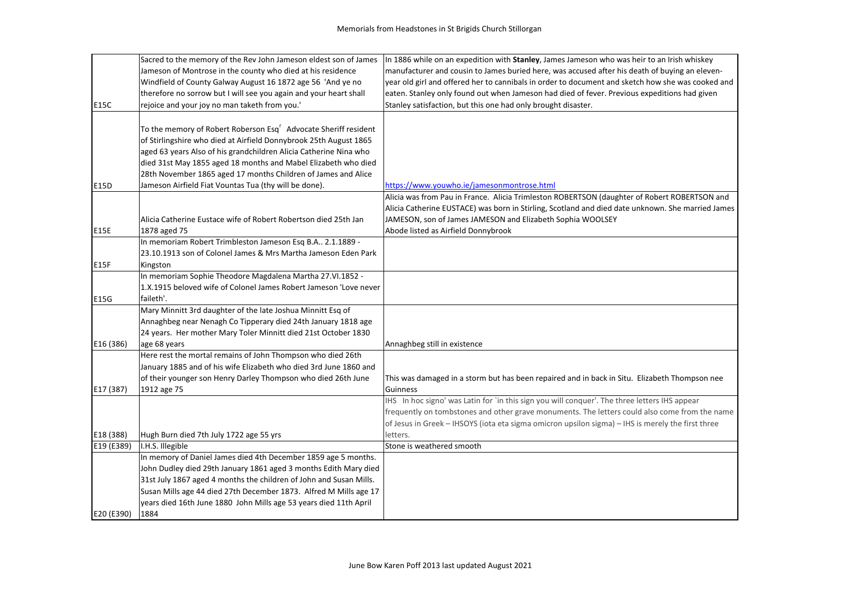|            | Sacred to the memory of the Rev John Jameson eldest son of James            | In 1886 while on an expedition with Stanley, James Jameson who was heir to an Irish whiskey       |
|------------|-----------------------------------------------------------------------------|---------------------------------------------------------------------------------------------------|
|            | Jameson of Montrose in the county who died at his residence                 | manufacturer and cousin to James buried here, was accused after his death of buying an eleven-    |
|            | Windfield of County Galway August 16 1872 age 56 'And ye no                 | year old girl and offered her to cannibals in order to document and sketch how she was cooked and |
|            | therefore no sorrow but I will see you again and your heart shall           | eaten. Stanley only found out when Jameson had died of fever. Previous expeditions had given      |
| E15C       | rejoice and your joy no man taketh from you.'                               | Stanley satisfaction, but this one had only brought disaster.                                     |
|            |                                                                             |                                                                                                   |
|            | To the memory of Robert Roberson Esq <sup>r</sup> Advocate Sheriff resident |                                                                                                   |
|            | of Stirlingshire who died at Airfield Donnybrook 25th August 1865           |                                                                                                   |
|            | aged 63 years Also of his grandchildren Alicia Catherine Nina who           |                                                                                                   |
|            | died 31st May 1855 aged 18 months and Mabel Elizabeth who died              |                                                                                                   |
|            | 28th November 1865 aged 17 months Children of James and Alice               |                                                                                                   |
| E15D       | Jameson Airfield Fiat Vountas Tua (thy will be done).                       | https://www.youwho.ie/jamesonmontrose.html                                                        |
|            |                                                                             | Alicia was from Pau in France. Alicia Trimleston ROBERTSON (daughter of Robert ROBERTSON and      |
|            |                                                                             | Alicia Catherine EUSTACE) was born in Stirling, Scotland and died date unknown. She married James |
|            | Alicia Catherine Eustace wife of Robert Robertson died 25th Jan             | JAMESON, son of James JAMESON and Elizabeth Sophia WOOLSEY                                        |
| E15E       | 1878 aged 75                                                                | Abode listed as Airfield Donnybrook                                                               |
|            | In memoriam Robert Trimbleston Jameson Esq B.A 2.1.1889 -                   |                                                                                                   |
|            | 23.10.1913 son of Colonel James & Mrs Martha Jameson Eden Park              |                                                                                                   |
| E15F       | Kingston                                                                    |                                                                                                   |
|            | In memoriam Sophie Theodore Magdalena Martha 27.VI.1852 -                   |                                                                                                   |
|            | 1.X.1915 beloved wife of Colonel James Robert Jameson 'Love never           |                                                                                                   |
| E15G       | faileth'.                                                                   |                                                                                                   |
|            | Mary Minnitt 3rd daughter of the late Joshua Minnitt Esq of                 |                                                                                                   |
|            | Annaghbeg near Nenagh Co Tipperary died 24th January 1818 age               |                                                                                                   |
|            | 24 years. Her mother Mary Toler Minnitt died 21st October 1830              |                                                                                                   |
| E16 (386)  | age 68 years                                                                | Annaghbeg still in existence                                                                      |
|            | Here rest the mortal remains of John Thompson who died 26th                 |                                                                                                   |
|            | January 1885 and of his wife Elizabeth who died 3rd June 1860 and           |                                                                                                   |
|            | of their younger son Henry Darley Thompson who died 26th June               | This was damaged in a storm but has been repaired and in back in Situ. Elizabeth Thompson nee     |
| E17 (387)  | 1912 age 75                                                                 | Guinness                                                                                          |
|            |                                                                             | IHS In hoc signo' was Latin for `in this sign you will conquer'. The three letters IHS appear     |
|            |                                                                             | frequently on tombstones and other grave monuments. The letters could also come from the name     |
|            |                                                                             | of Jesus in Greek - IHSOYS (iota eta sigma omicron upsilon sigma) - IHS is merely the first three |
| E18 (388)  | Hugh Burn died 7th July 1722 age 55 yrs                                     | letters.                                                                                          |
| E19 (E389) | I.H.S. Illegible                                                            | Stone is weathered smooth                                                                         |
|            | In memory of Daniel James died 4th December 1859 age 5 months.              |                                                                                                   |
|            | John Dudley died 29th January 1861 aged 3 months Edith Mary died            |                                                                                                   |
|            | 31st July 1867 aged 4 months the children of John and Susan Mills.          |                                                                                                   |
|            | Susan Mills age 44 died 27th December 1873. Alfred M Mills age 17           |                                                                                                   |
|            | years died 16th June 1880 John Mills age 53 years died 11th April           |                                                                                                   |
| E20 (E390) | 1884                                                                        |                                                                                                   |